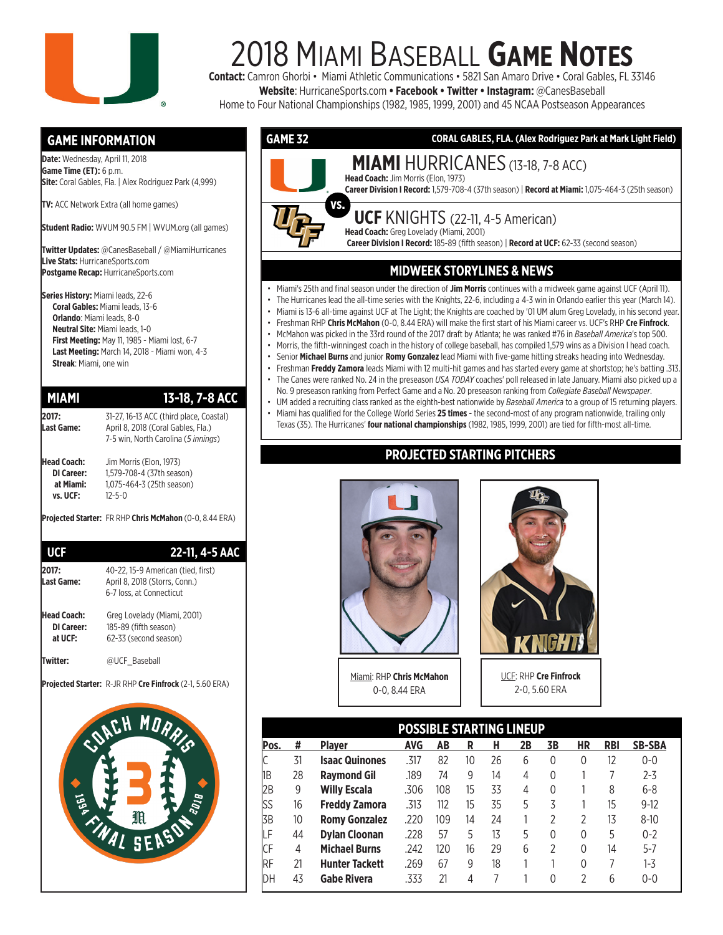

## 2018 MIAMI BASEBALL **GAME NOTES**

**Contact:** Camron Ghorbi • Miami Athletic Communications • 5821 San Amaro Drive • Coral Gables, FL 33146 **Website**: HurricaneSports.com **• Facebook • Twitter • Instagram:** @CanesBaseball

Home to Four National Championships (1982, 1985, 1999, 2001) and 45 NCAA Postseason Appearances

#### **GAME INFORMATION**

**Date:** Wednesday, April 11, 2018 **Game Time (ET):** 6 p.m. **Site:** Coral Gables, Fla. | Alex Rodriguez Park (4,999)

**TV:** ACC Network Extra (all home games)

**Student Radio:** WVUM 90.5 FM | WVUM.org (all games)

**Twitter Updates:** @CanesBaseball / @MiamiHurricanes **Live Stats:** HurricaneSports.com **Postgame Recap:** HurricaneSports.com

**Series History:** Miami leads, 22-6 **Coral Gables:** Miami leads, 13-6 **Orlando**: Miami leads, 8-0 **Neutral Site:** Miami leads, 1-0 **First Meeting:** May 11, 1985 - Miami lost, 6-7 **Last Meeting:** March 14, 2018 - Miami won, 4-3 **Streak**: Miami, one win

#### **MIAMI 13-18, 7-8 ACC**

| 2017:              | 31-27, 16-13 ACC (third place, Coastal) |
|--------------------|-----------------------------------------|
| Last Game:         | April 8, 2018 (Coral Gables, Fla.)      |
|                    | 7-5 win, North Carolina (5 innings)     |
| <b>Head Coach:</b> | Jim Morris (Elon, 1973)                 |
| <b>DI Career:</b>  | 1,579-708-4 (37th season)               |
| at Miami:          | 1,075-464-3 (25th season)               |
| vs. UCF:           | 12-5-0                                  |
|                    |                                         |

**Projected Starter:** FR RHP **Chris McMahon** (0-0, 8.44 ERA)

| <b>UCF</b>                           | 22-11, 4-5 AAC                                                                                  |
|--------------------------------------|-------------------------------------------------------------------------------------------------|
| 2017:<br>Last Game:                  | 40-22. 15-9 American (tied. first)<br>April 8, 2018 (Storrs, Conn.)<br>6-7 loss, at Connecticut |
| Head Coach:<br>DI Career:<br>at UCF: | Greg Lovelady (Miami, 2001)<br>185-89 (fifth season)<br>62-33 (second season)                   |
|                                      | @UCF Baseball                                                                                   |

**Projected Starter:** R-JR RHP **Cre Finfrock** (2-1, 5.60 ERA)





- The Hurricanes lead the all-time series with the Knights, 22-6, including a 4-3 win in Orlando earlier this year (March 14).
- Miami is 13-6 all-time against UCF at The Light; the Knights are coached by '01 UM alum Greg Lovelady, in his second year.
- Freshman RHP **Chris McMahon** (0-0, 8.44 ERA) will make the first start of his Miami career vs. UCF's RHP **Cre Finfrock**. • McMahon was picked in the 33rd round of the 2017 draft by Atlanta; he was ranked #76 in *Baseball America*'s top 500.
- Morris, the fifth-winningest coach in the history of college baseball, has compiled 1,579 wins as a Division I head coach.
- Senior **Michael Burns** and junior **Romy Gonzalez** lead Miami with five-game hitting streaks heading into Wednesday.
- Freshman **Freddy Zamora** leads Miami with 12 multi-hit games and has started every game at shortstop; he's batting .313.
- The Canes were ranked No. 24 in the preseason *USA TODAY* coaches' poll released in late January. Miami also picked up a No. 9 preseason ranking from Perfect Game and a No. 20 preseason ranking from *Collegiate Baseball Newspaper*.
- UM added a recruiting class ranked as the eighth-best nationwide by *Baseball America* to a group of 15 returning players.
- Miami has qualified for the College World Series **25 times**  the second-most of any program nationwide, trailing only Texas (35). The Hurricanes' **four national championships** (1982, 1985, 1999, 2001) are tied for fifth-most all-time.

#### **PROJECTED STARTING PITCHERS**



Miami: RHP **Chris McMahon** 0-0, 8.44 ERA



UCF: RHP **Cre Finfrock** 2-0, 5.60 ERA

|      |    |                       | <b>POSSIBLE STARTING LINEUP</b> |     |    |    |    |    |    |            |               |
|------|----|-----------------------|---------------------------------|-----|----|----|----|----|----|------------|---------------|
| Pos. | #  | <b>Player</b>         | <b>AVG</b>                      | AB  | R  | н  | 2B | 3В | HR | <b>RBI</b> | <b>SB-SBA</b> |
|      | 31 | <b>Isaac Quinones</b> | .317                            | 82  | 10 | 26 | 6  | 0  | 0  | 12         | $0 - 0$       |
| 1B   | 28 | <b>Raymond Gil</b>    | .189                            | 74  | 9  | 14 | 4  | 0  |    |            | $2 - 3$       |
| 2B   | 9  | <b>Willy Escala</b>   | .306                            | 108 | 15 | 33 | 4  | 0  |    | 8          | $6 - 8$       |
| lss  | 16 | <b>Freddy Zamora</b>  | .313                            | 112 | 15 | 35 | 5  | 3  |    | 15         | $9-12$        |
| 3B   | 10 | <b>Romy Gonzalez</b>  | .220                            | 109 | 14 | 24 |    | 2  | 2  | 13         | $8 - 10$      |
| LΕ   | 44 | <b>Dylan Cloonan</b>  | .228                            | 57  | 5  | 13 | 5  | 0  | 0  | 5          | $0 - 2$       |
| CF   | 4  | <b>Michael Burns</b>  | .242                            | 120 | 16 | 29 | 6  | 2  | 0  | 14         | $5 - 7$       |
| RF   | 21 | <b>Hunter Tackett</b> | .269                            | 67  | 9  | 18 |    |    | 0  |            | $1 - 3$       |
| DH   | 43 | <b>Gabe Rivera</b>    | .333                            | 21  | 4  |    |    | 0  | 2  | 6          | $0 - 0$       |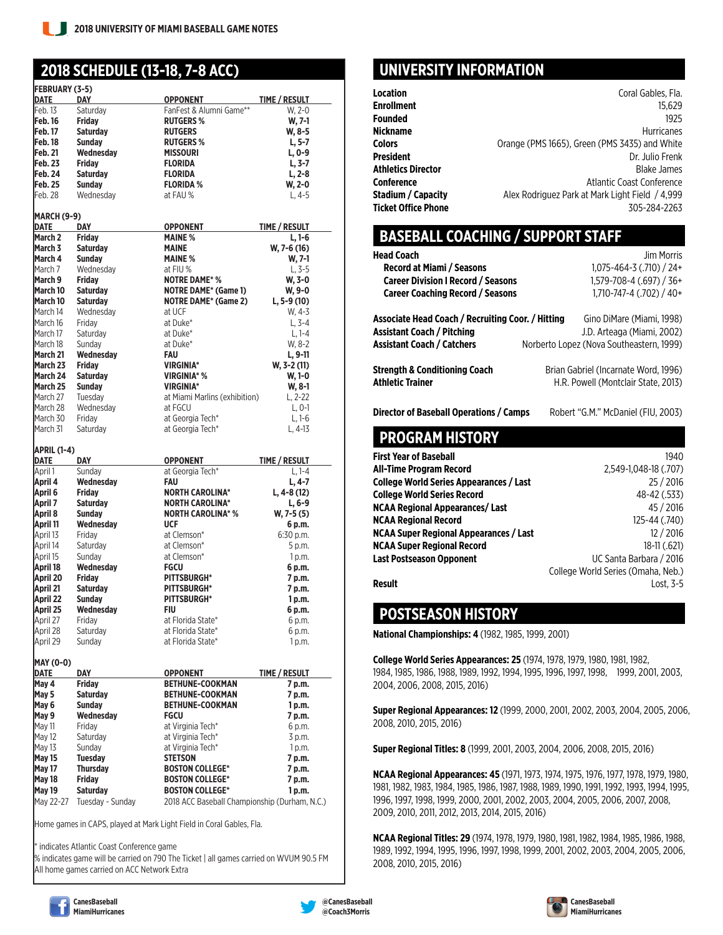#### **2018 SCHEDULE (13-18, 7-8 ACC)**

| <b>FEBRUARY (3-5)</b>                                                                                     |                                     |                                                                         |                      |
|-----------------------------------------------------------------------------------------------------------|-------------------------------------|-------------------------------------------------------------------------|----------------------|
| DATE                                                                                                      | DAY                                 | OPPONENT                                                                | <b>TIME / RESULT</b> |
| Feb. 13                                                                                                   | Saturday                            | FanFest & Alumni Game**                                                 | W. 2-0               |
| <b>Feb. 16</b>                                                                                            | <b>Friday</b>                       | <b>RUTGERS %</b>                                                        | W. 7-1               |
|                                                                                                           |                                     |                                                                         |                      |
| Feb. 17                                                                                                   | <b>Saturday</b>                     | <b>RUTGERS</b>                                                          | W, 8-5               |
| Feb. 18                                                                                                   | <b>Sunday</b>                       | <b>RUTGERS %</b>                                                        | L, 5-7               |
| Feb. 21                                                                                                   | Wednesday                           | <b>MISSOURI</b>                                                         | L, 0-9               |
| <b>Feb. 23</b>                                                                                            | <b>Friday</b>                       | <b>FLORIDA</b>                                                          | $L, 3-7$             |
| Feb. 24                                                                                                   | <b>Saturday</b>                     | <b>FLORIDA</b>                                                          | $L, 2-8$             |
| <b>Feb. 25</b>                                                                                            | <b>Sunday</b>                       | <b>FLORIDA %</b>                                                        | W, 2-0               |
|                                                                                                           |                                     |                                                                         |                      |
| Feb. 28                                                                                                   | Wednesday                           | at FAU %                                                                | $L, 4-5$             |
|                                                                                                           |                                     |                                                                         |                      |
| MARCH (9-9)                                                                                               |                                     |                                                                         |                      |
| DATE                                                                                                      | DAY                                 | <b>OPPONENT</b>                                                         | TIME / RESULT        |
| March <sub>2</sub>                                                                                        | <b>Fridav</b>                       | <b>MAINE %</b>                                                          | L, 1-6               |
| March 3                                                                                                   | <b>Saturday</b>                     | <b>MAINE</b>                                                            | W, 7-6 (16)          |
| March 4                                                                                                   | <b>Sunday</b>                       | <b>MAINE %</b>                                                          |                      |
|                                                                                                           |                                     |                                                                         | W, 7-1               |
| March 7                                                                                                   | Wednesday                           | at FIU %                                                                | L, 3-5               |
| March 9                                                                                                   | <b>Friday</b>                       | <b>NOTRE DAME* %</b>                                                    | W. 3-0               |
| March 10                                                                                                  | <b>Saturday</b>                     | <b>NOTRE DAME* (Game 1)</b>                                             | W, 9-0               |
| March 10                                                                                                  | <b>Saturday</b>                     | <b>NOTRE DAME* (Game 2)</b>                                             | $L, 5-9(10)$         |
| March 14                                                                                                  | Wednesday                           | at UCF                                                                  | W, 4-3               |
|                                                                                                           |                                     |                                                                         |                      |
| March 16                                                                                                  | Friday                              | at Duke*                                                                | $L. 3 - 4$           |
| March 17                                                                                                  | Saturday                            | at Duke*                                                                | $L, 1-4$             |
| March 18                                                                                                  | Sunday                              | at Duke*                                                                | W. 8-2               |
| March 21                                                                                                  | Wednesday                           | FAU                                                                     | $L.9-11$             |
| March 23                                                                                                  | <b>Fridav</b>                       | <b>VIRGINIA*</b>                                                        | W. 3-2 (11)          |
|                                                                                                           |                                     |                                                                         |                      |
| March 24                                                                                                  | <b>Saturday</b>                     | VIRGINIA* %                                                             | W, 1-0               |
| March 25                                                                                                  | <b>Sunday</b>                       | <b>VIRGINIA*</b>                                                        | W, 8-1               |
| March 27                                                                                                  | Tuesday                             | at Miami Marlins (exhibition)                                           | L, 2-22              |
| March 28                                                                                                  | Wednesdav                           | at FGCU                                                                 | $L, 0-1$             |
| March 30                                                                                                  | Friday                              | at Georgia Tech*                                                        | $L.1-6$              |
|                                                                                                           |                                     | at Georgia Tech*                                                        |                      |
| March 31                                                                                                  | Saturday                            |                                                                         | L, 4-13              |
| APRIL (1-4)                                                                                               |                                     |                                                                         |                      |
|                                                                                                           |                                     |                                                                         |                      |
| DATE                                                                                                      | DAY                                 | <b>OPPONENT</b>                                                         | TIME / RESULT        |
| April 1                                                                                                   | Sunday                              | at Georgia Tech*                                                        | $L, 1-4$             |
| April 4                                                                                                   | Wednesday                           | FAU                                                                     | L, 4-7               |
|                                                                                                           |                                     |                                                                         |                      |
| April 6                                                                                                   | <b>Friday</b>                       | <b>NORTH CAROLINA*</b>                                                  | L, 4-8 (12)          |
| April 7                                                                                                   | <b>Saturday</b>                     | <b>NORTH CAROLINA*</b>                                                  | L, 6-9               |
|                                                                                                           | <b>Sunday</b>                       | <b>NORTH CAROLINA* %</b>                                                | W, 7-5 (5)           |
|                                                                                                           | Wednesday                           | <b>UCF</b>                                                              | 6 p.m.               |
| April 8<br>April 11<br>April 13                                                                           | Friday                              | at Clemson*                                                             | 6:30 p.m.            |
|                                                                                                           | Saturday                            | at Clemson*                                                             | 5 p.m.               |
|                                                                                                           |                                     |                                                                         |                      |
|                                                                                                           | Sunday                              | at Clemson*                                                             | 1 p.m.               |
|                                                                                                           | Wednesday                           | FGCU                                                                    | 6 p.m.               |
|                                                                                                           | <b>Friday</b>                       | <b>PITTSBURGH*</b>                                                      | 7 p.m.               |
|                                                                                                           | <b>Saturday</b>                     | <b>PITTSBURGH*</b>                                                      | 7 p.m.               |
|                                                                                                           | <b>Sunday</b>                       | <b>PITTSBURGH*</b>                                                      | 1 p.m.               |
|                                                                                                           | Wednesdav                           | FIU                                                                     | 6 p.m.               |
|                                                                                                           |                                     |                                                                         |                      |
|                                                                                                           | Friday                              | at Florida State*                                                       | 6 p.m.               |
| April 27<br>April 28                                                                                      | Saturday                            | at Florida State*                                                       | 6 p.m.               |
|                                                                                                           | Sunday                              | at Florida State*                                                       | 1 p.m.               |
| April 14<br>April 15<br>April 18<br>April 20<br>April 21<br>April 22<br>April 25<br>April 29<br>MAY (0-0) |                                     |                                                                         |                      |
|                                                                                                           |                                     |                                                                         |                      |
| DATE                                                                                                      | DAY                                 | OPPONENT                                                                | TIME / RESULT        |
| May 4                                                                                                     | Friday                              | <b>BETHUNE-COOKMAN</b>                                                  | 7 p.m.               |
|                                                                                                           | <b>Saturday</b>                     | <b>BETHUNE-COOKMAN</b>                                                  | 7 p.m.               |
| May 5<br>May 6                                                                                            | <b>Sundav</b>                       | <b>BETHUNE-COOKMAN</b>                                                  | 1 p.m.               |
|                                                                                                           | Wednesday                           | FGCU                                                                    | 7 p.m.               |
| May 11                                                                                                    | Friday                              | at Virginia Tech*                                                       | 6 p.m.               |
|                                                                                                           |                                     |                                                                         |                      |
| May 12                                                                                                    | Saturday                            | at Virginia Tech*                                                       | 3 p.m.               |
| May 13                                                                                                    | Sunday                              | at Virginia Tech*                                                       | 1 p.m.               |
| May 15                                                                                                    | <b>Tuesday</b>                      | STETSON                                                                 | 7 p.m.               |
| May 17                                                                                                    | <b>Thursday</b>                     | <b>BOSTON COLLEGE*</b>                                                  | 7 p.m.               |
| May 9<br>May 18                                                                                           | <b>Friday</b>                       | <b>BOSTON COLLEGE*</b>                                                  | 7 p.m.               |
|                                                                                                           |                                     |                                                                         |                      |
| May 19<br>May 22-27                                                                                       | <b>Saturday</b><br>Tuesday - Sunday | <b>BOSTON COLLEGE*</b><br>2018 ACC Baseball Championship (Durham, N.C.) | 1 p.m.               |

Home games in CAPS, played at Mark Light Field in Coral Gables, Fla.

indicates Atlantic Coast Conference game

% indicates game will be carried on 790 The Ticket | all games carried on WVUM 90.5 FM All home games carried on ACC Network Extra

#### **UNIVERSITY INFORMATION**

| Coral Gables, Fla.                              |
|-------------------------------------------------|
| 15.629                                          |
| 1925                                            |
| <b>Hurricanes</b>                               |
| Orange (PMS 1665), Green (PMS 3435) and White   |
| Dr. Julio Frenk                                 |
| <b>Blake James</b>                              |
| Atlantic Coast Conference                       |
| Alex Rodriguez Park at Mark Light Field / 4,999 |
| 305-284-2263                                    |
|                                                 |

#### **BASEBALL COACHING / SUPPORT STAFF**

| <b>Head Coach</b>                                 | Jim Morris                               |
|---------------------------------------------------|------------------------------------------|
| Record at Miami / Seasons                         | $1,075 - 464 - 3$ (.710) / 24+           |
| <b>Career Division I Record / Seasons</b>         | 1.579-708-4 (.697) / 36+                 |
| <b>Career Coaching Record / Seasons</b>           | 1,710-747-4 (.702) / 40+                 |
| Associate Head Coach / Recruiting Coor. / Hitting | Gino DiMare (Miami, 1998)                |
| <b>Assistant Coach / Pitching</b>                 | J.D. Arteaga (Miami. 2002)               |
| <b>Assistant Coach / Catchers</b>                 | Norberto Lopez (Nova Southeastern, 1999) |
| <b>Strength &amp; Conditioning Coach</b>          | Brian Gabriel (Incarnate Word, 1996)     |
| <b>Athletic Trainer</b>                           | H.R. Powell (Montclair State, 2013)      |
| Director of Baseball Operations / Camps           | Robert "G.M." McDaniel (FIU, 2003)       |
| <b>PROGRAM HISTORY</b>                            |                                          |
| <b>First Year of Baseball</b>                     | 1940                                     |
| <b>All-Time Program Record</b>                    | 2,549-1,048-18 (.707)                    |
| College World Series Appearances / Last           | 25 / 2016                                |
| <b>College World Series Record</b>                | 48-42 (.533)                             |
| <b>NCAA Regional Appearances/Last</b>             | 45 / 2016                                |
| <b>NCAA Regional Record</b>                       | 125-44 (.740)                            |
| NCAA Super Regional Appearances / Last            | 12/2016                                  |
| <b>NCAA Super Regional Record</b>                 | 18-11 (.621)                             |
| <b>Last Postseason Opponent</b>                   | UC Santa Barbara / 2016                  |
|                                                   | College World Series (Omaha, Neb.)       |
| Result                                            | Lost. 3-5                                |

**POSTSEASON HISTORY**

**National Championships: 4** (1982, 1985, 1999, 2001)

**College World Series Appearances: 25** (1974, 1978, 1979, 1980, 1981, 1982, 1984, 1985, 1986, 1988, 1989, 1992, 1994, 1995, 1996, 1997, 1998, 1999, 2001, 2003, 2004, 2006, 2008, 2015, 2016)

**Super Regional Appearances: 12** (1999, 2000, 2001, 2002, 2003, 2004, 2005, 2006, 2008, 2010, 2015, 2016)

**Super Regional Titles: 8** (1999, 2001, 2003, 2004, 2006, 2008, 2015, 2016)

**NCAA Regional Appearances: 45** (1971, 1973, 1974, 1975, 1976, 1977, 1978, 1979, 1980, 1981, 1982, 1983, 1984, 1985, 1986, 1987, 1988, 1989, 1990, 1991, 1992, 1993, 1994, 1995, 1996, 1997, 1998, 1999, 2000, 2001, 2002, 2003, 2004, 2005, 2006, 2007, 2008, 2009, 2010, 2011, 2012, 2013, 2014, 2015, 2016)

**NCAA Regional Titles: 29** (1974, 1978, 1979, 1980, 1981, 1982, 1984, 1985, 1986, 1988, 1989, 1992, 1994, 1995, 1996, 1997, 1998, 1999, 2001, 2002, 2003, 2004, 2005, 2006, 2008, 2010, 2015, 2016)





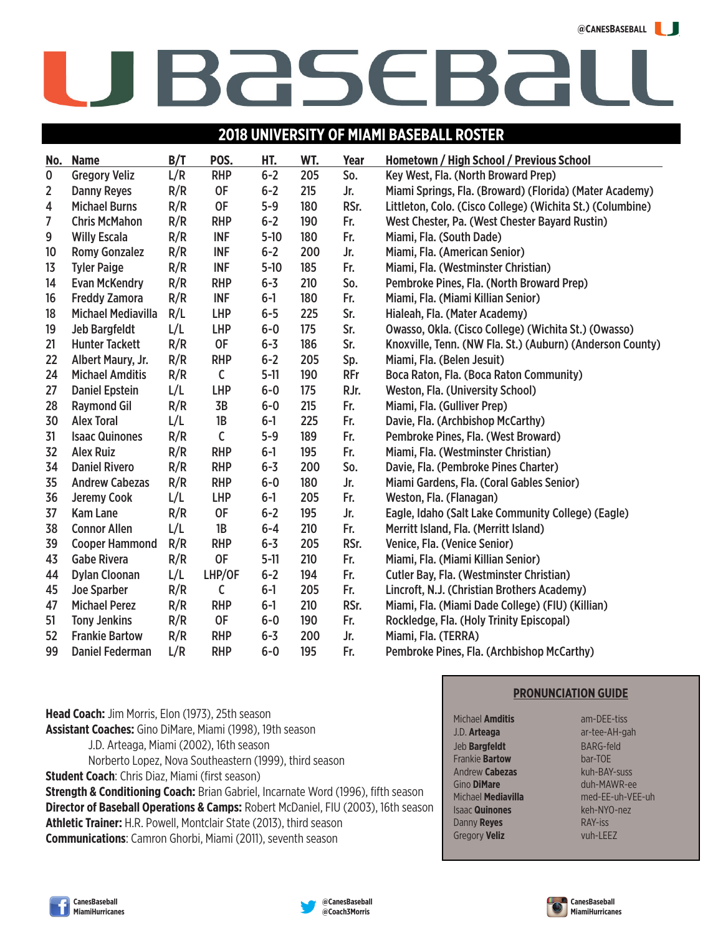#### **@CANESBASEBALL**

# BASEBA

#### **2018 UNIVERSITY OF MIAMI BASEBALL ROSTER**

| No.                     | <b>Name</b>               | B/T | POS.         | HT.      | WT. | Year       | Hometown / High School / Previous School                   |
|-------------------------|---------------------------|-----|--------------|----------|-----|------------|------------------------------------------------------------|
| $\mathbf 0$             | <b>Gregory Veliz</b>      | L/R | <b>RHP</b>   | $6 - 2$  | 205 | So.        | Key West, Fla. (North Broward Prep)                        |
| 2                       | <b>Danny Reyes</b>        | R/R | <b>OF</b>    | $6 - 2$  | 215 | Jr.        | Miami Springs, Fla. (Broward) (Florida) (Mater Academy)    |
| $\overline{\mathbf{4}}$ | <b>Michael Burns</b>      | R/R | <b>OF</b>    | $5-9$    | 180 | RSr.       | Littleton, Colo. (Cisco College) (Wichita St.) (Columbine) |
| 7                       | <b>Chris McMahon</b>      | R/R | <b>RHP</b>   | $6 - 2$  | 190 | Fr.        | West Chester, Pa. (West Chester Bayard Rustin)             |
| 9                       | <b>Willy Escala</b>       | R/R | <b>INF</b>   | $5-10$   | 180 | Fr.        | Miami, Fla. (South Dade)                                   |
| 10                      | <b>Romy Gonzalez</b>      | R/R | <b>INF</b>   | $6 - 2$  | 200 | Jr.        | Miami, Fla. (American Senior)                              |
| 13                      | <b>Tyler Paige</b>        | R/R | <b>INF</b>   | $5-10$   | 185 | Fr.        | Miami, Fla. (Westminster Christian)                        |
| 14                      | <b>Evan McKendry</b>      | R/R | <b>RHP</b>   | $6 - 3$  | 210 | So.        | Pembroke Pines, Fla. (North Broward Prep)                  |
| 16                      | <b>Freddy Zamora</b>      | R/R | <b>INF</b>   | $6-1$    | 180 | Fr.        | Miami, Fla. (Miami Killian Senior)                         |
| 18                      | <b>Michael Mediavilla</b> | R/L | <b>LHP</b>   | $6-5$    | 225 | Sr.        | Hialeah, Fla. (Mater Academy)                              |
| 19                      | <b>Jeb Bargfeldt</b>      | L/L | <b>LHP</b>   | $6-0$    | 175 | Sr.        | Owasso, Okla. (Cisco College) (Wichita St.) (Owasso)       |
| 21                      | <b>Hunter Tackett</b>     | R/R | <b>OF</b>    | $6 - 3$  | 186 | Sr.        | Knoxville, Tenn. (NW Fla. St.) (Auburn) (Anderson County)  |
| 22                      | Albert Maury, Jr.         | R/R | <b>RHP</b>   | $6-2$    | 205 | Sp.        | Miami, Fla. (Belen Jesuit)                                 |
| 24                      | <b>Michael Amditis</b>    | R/R | $\mathsf C$  | $5 - 11$ | 190 | <b>RFr</b> | Boca Raton, Fla. (Boca Raton Community)                    |
| 27                      | <b>Daniel Epstein</b>     | L/L | <b>LHP</b>   | $6-0$    | 175 | RJr.       | <b>Weston, Fla. (University School)</b>                    |
| 28                      | <b>Raymond Gil</b>        | R/R | 3B           | $6-0$    | 215 | Fr.        | Miami, Fla. (Gulliver Prep)                                |
| 30                      | <b>Alex Toral</b>         | L/L | 1B           | $6-1$    | 225 | Fr.        | Davie, Fla. (Archbishop McCarthy)                          |
| 31                      | <b>Isaac Quinones</b>     | R/R | $\mathsf{C}$ | $5-9$    | 189 | Fr.        | Pembroke Pines, Fla. (West Broward)                        |
| 32                      | <b>Alex Ruiz</b>          | R/R | <b>RHP</b>   | $6-1$    | 195 | Fr.        | Miami, Fla. (Westminster Christian)                        |
| 34                      | <b>Daniel Rivero</b>      | R/R | <b>RHP</b>   | $6 - 3$  | 200 | So.        | Davie, Fla. (Pembroke Pines Charter)                       |
| 35                      | <b>Andrew Cabezas</b>     | R/R | <b>RHP</b>   | $6-0$    | 180 | Jr.        | Miami Gardens, Fla. (Coral Gables Senior)                  |
| 36                      | Jeremy Cook               | L/L | <b>LHP</b>   | $6-1$    | 205 | Fr.        | Weston, Fla. (Flanagan)                                    |
| 37                      | <b>Kam Lane</b>           | R/R | <b>OF</b>    | $6 - 2$  | 195 | Jr.        | Eagle, Idaho (Salt Lake Community College) (Eagle)         |
| 38                      | <b>Connor Allen</b>       | L/L | 1B           | $6 - 4$  | 210 | Fr.        | Merritt Island, Fla. (Merritt Island)                      |
| 39                      | <b>Cooper Hammond</b>     | R/R | <b>RHP</b>   | $6 - 3$  | 205 | RSr.       | Venice, Fla. (Venice Senior)                               |
| 43                      | <b>Gabe Rivera</b>        | R/R | 0F           | $5 - 11$ | 210 | Fr.        | Miami, Fla. (Miami Killian Senior)                         |
| 44                      | <b>Dylan Cloonan</b>      | L/L | LHP/OF       | $6 - 2$  | 194 | Fr.        | <b>Cutler Bay, Fla. (Westminster Christian)</b>            |
| 45                      | <b>Joe Sparber</b>        | R/R | $\mathsf{C}$ | $6-1$    | 205 | Fr.        | Lincroft, N.J. (Christian Brothers Academy)                |
| 47                      | <b>Michael Perez</b>      | R/R | <b>RHP</b>   | $6-1$    | 210 | RSr.       | Miami, Fla. (Miami Dade College) (FIU) (Killian)           |
| 51                      | <b>Tony Jenkins</b>       | R/R | <b>OF</b>    | $6-0$    | 190 | Fr.        | Rockledge, Fla. (Holy Trinity Episcopal)                   |
| 52                      | <b>Frankie Bartow</b>     | R/R | <b>RHP</b>   | $6 - 3$  | 200 | Jr.        | Miami, Fla. (TERRA)                                        |
| 99                      | <b>Daniel Federman</b>    | L/R | <b>RHP</b>   | $6-0$    | 195 | Fr.        | Pembroke Pines, Fla. (Archbishop McCarthy)                 |

**Head Coach:** Jim Morris, Elon (1973), 25th season **Assistant Coaches:** Gino DiMare, Miami (1998), 19th season J.D. Arteaga, Miami (2002), 16th season Norberto Lopez, Nova Southeastern (1999), third season **Student Coach**: Chris Diaz, Miami (first season) **Strength & Conditioning Coach:** Brian Gabriel, Incarnate Word (1996), fifth season **Director of Baseball Operations & Camps:** Robert McDaniel, FIU (2003), 16th season **Athletic Trainer:** H.R. Powell, Montclair State (2013), third season

**Communications**: Camron Ghorbi, Miami (2011), seventh season

**PRONUNCIATION GUIDE**

Michael **Amditis** am-DEE-tiss J.D. **Arteaga ar-tee-AH-gah** Jeb **Bargfeldt** BARG-feld<br> **BARG-feld**<br>
Bartow bar-TOE Frankie **Bartow** Andrew **Cabezas Kuh-BAY-suss** Gino **DiMare** duh-MAWR-ee Isaac **Quinones** keh-NYO-nez **Danny Reyes** RAY-iss Gregory **Veliz** vuh-LEEZ

# Michael **Mediavilla** med-EE-uh-VEE-uh





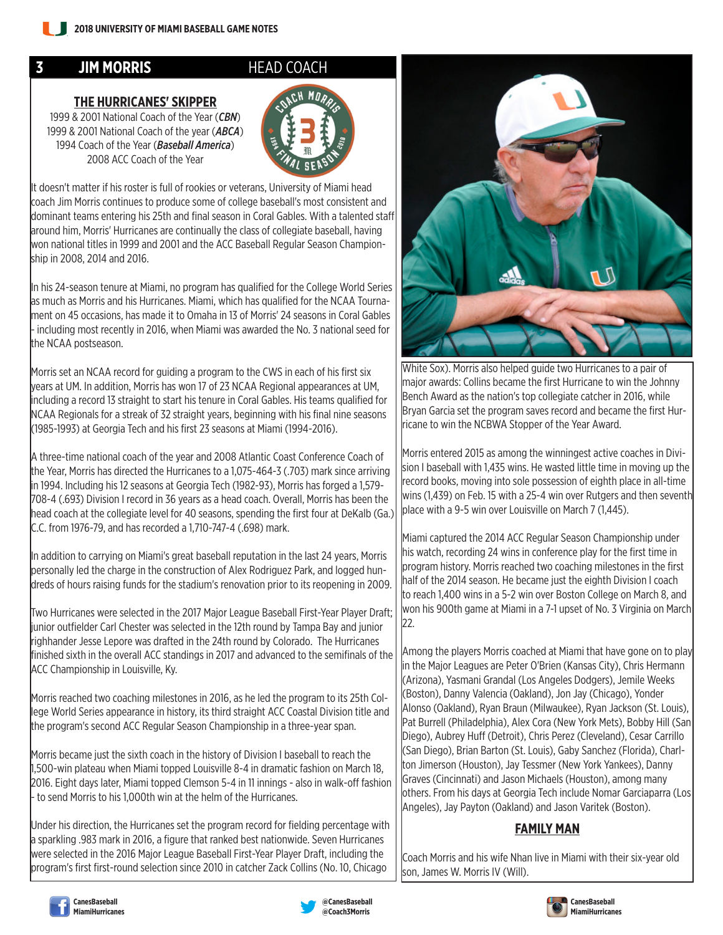#### **3 JIM MORRIS** HEAD COACH

#### **THE HURRICANES' SKIPPER**

1999 & 2001 National Coach of the Year (*CBN*) 1999 & 2001 National Coach of the year (*ABCA*) 1994 Coach of the Year (*Baseball America*) 2008 ACC Coach of the Year



It doesn't matter if his roster is full of rookies or veterans, University of Miami head coach Jim Morris continues to produce some of college baseball's most consistent and dominant teams entering his 25th and final season in Coral Gables. With a talented staff around him, Morris' Hurricanes are continually the class of collegiate baseball, having won national titles in 1999 and 2001 and the ACC Baseball Regular Season Championship in 2008, 2014 and 2016.

In his 24-season tenure at Miami, no program has qualified for the College World Series as much as Morris and his Hurricanes. Miami, which has qualified for the NCAA Tournament on 45 occasions, has made it to Omaha in 13 of Morris' 24 seasons in Coral Gables - including most recently in 2016, when Miami was awarded the No. 3 national seed for the NCAA postseason.

Morris set an NCAA record for guiding a program to the CWS in each of his first six years at UM. In addition, Morris has won 17 of 23 NCAA Regional appearances at UM, including a record 13 straight to start his tenure in Coral Gables. His teams qualified for NCAA Regionals for a streak of 32 straight years, beginning with his final nine seasons (1985-1993) at Georgia Tech and his first 23 seasons at Miami (1994-2016).

A three-time national coach of the year and 2008 Atlantic Coast Conference Coach of the Year, Morris has directed the Hurricanes to a 1,075-464-3 (.703) mark since arriving in 1994. Including his 12 seasons at Georgia Tech (1982-93), Morris has forged a 1,579- 708-4 (.693) Division I record in 36 years as a head coach. Overall, Morris has been the head coach at the collegiate level for 40 seasons, spending the first four at DeKalb (Ga.) C.C. from 1976-79, and has recorded a 1,710-747-4 (.698) mark.

In addition to carrying on Miami's great baseball reputation in the last 24 years, Morris personally led the charge in the construction of Alex Rodriguez Park, and logged hundreds of hours raising funds for the stadium's renovation prior to its reopening in 2009.

Two Hurricanes were selected in the 2017 Major League Baseball First-Year Player Draft; junior outfielder Carl Chester was selected in the 12th round by Tampa Bay and junior righhander Jesse Lepore was drafted in the 24th round by Colorado. The Hurricanes finished sixth in the overall ACC standings in 2017 and advanced to the semifinals of the ACC Championship in Louisville, Ky.

Morris reached two coaching milestones in 2016, as he led the program to its 25th College World Series appearance in history, its third straight ACC Coastal Division title and the program's second ACC Regular Season Championship in a three-year span.

Morris became just the sixth coach in the history of Division I baseball to reach the 1,500-win plateau when Miami topped Louisville 8-4 in dramatic fashion on March 18, 2016. Eight days later, Miami topped Clemson 5-4 in 11 innings - also in walk-off fashion - to send Morris to his 1,000th win at the helm of the Hurricanes.

Under his direction, the Hurricanes set the program record for fielding percentage with a sparkling .983 mark in 2016, a figure that ranked best nationwide. Seven Hurricanes were selected in the 2016 Major League Baseball First-Year Player Draft, including the program's first first-round selection since 2010 in catcher Zack Collins (No. 10, Chicago



White Sox). Morris also helped guide two Hurricanes to a pair of major awards: Collins became the first Hurricane to win the Johnny Bench Award as the nation's top collegiate catcher in 2016, while Bryan Garcia set the program saves record and became the first Hurricane to win the NCBWA Stopper of the Year Award.

Morris entered 2015 as among the winningest active coaches in Division I baseball with 1,435 wins. He wasted little time in moving up the record books, moving into sole possession of eighth place in all-time wins (1,439) on Feb. 15 with a 25-4 win over Rutgers and then seventh place with a 9-5 win over Louisville on March 7 (1,445).

Miami captured the 2014 ACC Regular Season Championship under his watch, recording 24 wins in conference play for the first time in program history. Morris reached two coaching milestones in the first half of the 2014 season. He became just the eighth Division I coach to reach 1,400 wins in a 5-2 win over Boston College on March 8, and won his 900th game at Miami in a 7-1 upset of No. 3 Virginia on March 22.

Among the players Morris coached at Miami that have gone on to play in the Major Leagues are Peter O'Brien (Kansas City), Chris Hermann (Arizona), Yasmani Grandal (Los Angeles Dodgers), Jemile Weeks (Boston), Danny Valencia (Oakland), Jon Jay (Chicago), Yonder Alonso (Oakland), Ryan Braun (Milwaukee), Ryan Jackson (St. Louis), Pat Burrell (Philadelphia), Alex Cora (New York Mets), Bobby Hill (San Diego), Aubrey Huff (Detroit), Chris Perez (Cleveland), Cesar Carrillo (San Diego), Brian Barton (St. Louis), Gaby Sanchez (Florida), Charlton Jimerson (Houston), Jay Tessmer (New York Yankees), Danny Graves (Cincinnati) and Jason Michaels (Houston), among many others. From his days at Georgia Tech include Nomar Garciaparra (Los Angeles), Jay Payton (Oakland) and Jason Varitek (Boston).

#### **FAMILY MAN**

Coach Morris and his wife Nhan live in Miami with their six-year old son, James W. Morris IV (Will).





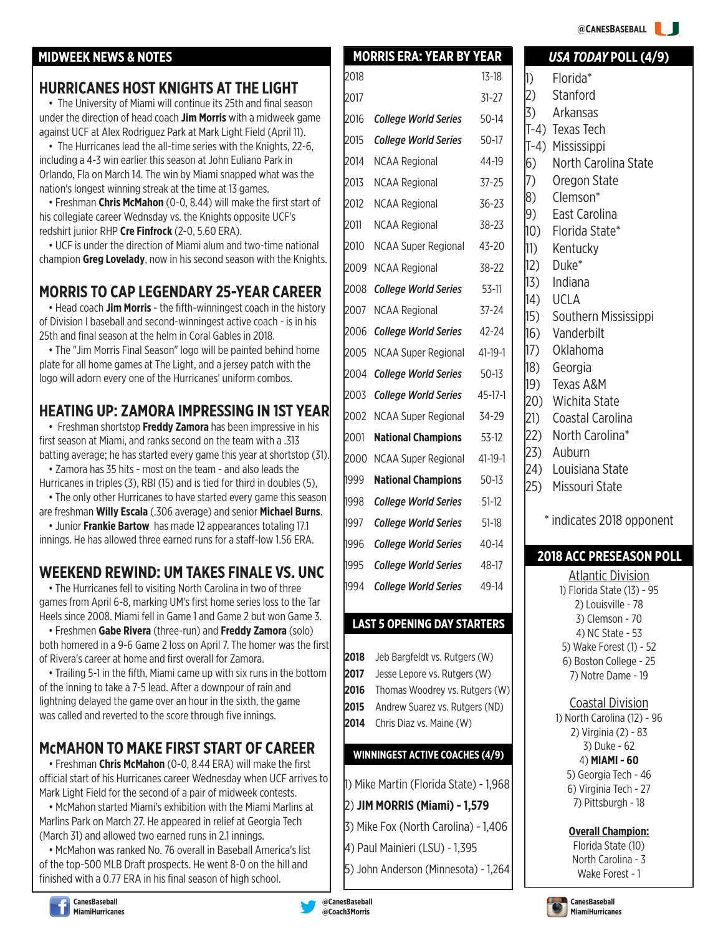#### **@CANESBASEBALL**

#### **MIDWEEK NEWS & NOTES** *USA TODAY* **POLL (4/9)**

#### **HURRICANES HOST KNIGHTS AT THE LIGHT**

• The University of Miami will continue its 25th and final season under the direction of head coach **Jim Morris** with a midweek game against UCF at Alex Rodriguez Park at Mark Light Field (April 11).

• The Hurricanes lead the all-time series with the Knights, 22-6, including a 4-3 win earlier this season at John Euliano Park in Orlando, Fla on March 14. The win by Miami snapped what was the nation's longest winning streak at the time at 13 games.

• Freshman **Chris McMahon** (0-0, 8.44) will make the first start of his collegiate career Wednsday vs. the Knights opposite UCF's redshirt junior RHP **Cre Finfrock** (2-0, 5.60 ERA).

• UCF is under the direction of Miami alum and two-time national champion **Greg Lovelady**, now in his second season with the Knights.

#### **MORRIS TO CAP LEGENDARY 25-YEAR CAREER**

• Head coach **Jim Morris** - the fifth-winningest coach in the history of Division I baseball and second-winningest active coach - is in his 25th and final season at the helm in Coral Gables in 2018.

• The "Jim Morris Final Season" logo will be painted behind home plate for all home games at The Light, and a jersey patch with the logo will adorn every one of the Hurricanes' uniform combos.

#### **HEATING UP: ZAMORA IMPRESSING IN 1ST YEAR**

• Freshman shortstop **Freddy Zamora** has been impressive in his first season at Miami, and ranks second on the team with a .313 batting average; he has started every game this year at shortstop (31).

• Zamora has 35 hits - most on the team - and also leads the Hurricanes in triples (3), RBI (15) and is tied for third in doubles (5),

• The only other Hurricanes to have started every game this season are freshman **Willy Escala** (.306 average) and senior **Michael Burns**.

• Junior **Frankie Bartow** has made 12 appearances totaling 17.1 innings. He has allowed three earned runs for a staff-low 1.56 ERA.

#### **WEEKEND REWIND: UM TAKES FINALE VS. UNC**

• The Hurricanes fell to visiting North Carolina in two of three games from April 6-8, marking UM's first home series loss to the Tar Heels since 2008. Miami fell in Game 1 and Game 2 but won Game 3.

• Freshmen **Gabe Rivera** (three-run) and **Freddy Zamora** (solo) both homered in a 9-6 Game 2 loss on April 7. The homer was the first of Rivera's career at home and first overall for Zamora.

• Trailing 5-1 in the fifth, Miami came up with six runs in the bottom of the inning to take a 7-5 lead. After a downpour of rain and lightning delayed the game over an hour in the sixth, the game was called and reverted to the score through five innings.

#### **McMAHON TO MAKE FIRST START OF CAREER**

• Freshman **Chris McMahon** (0-0, 8.44 ERA) will make the first official start of his Hurricanes career Wednesday when UCF arrives to Mark Light Field for the second of a pair of midweek contests.

• McMahon started Miami's exhibition with the Miami Marlins at Marlins Park on March 27. He appeared in relief at Georgia Tech (March 31) and allowed two earned runs in 2.1 innings.

• McMahon was ranked No. 76 overall in Baseball America's list of the top-500 MLB Draft prospects. He went 8-0 on the hill and finished with a 0.77 ERA in his final season of high school.



#### **LAST 5 OPENING DAY STARTERS**

- **2018** Jeb Bargfeldt vs. Rutgers (W)
- **2017** Jesse Lepore vs. Rutgers (W)
- **2016** Thomas Woodrey vs. Rutgers (W)
- **2015** Andrew Suarez vs. Rutgers (ND)
- **2014** Chris Diaz vs. Maine (W)

#### **WINNINGEST ACTIVE COACHES (4/9)**

1) Mike Martin (Florida State) - 1,968

- 2) **JIM MORRIS (Miami) 1,579**
- 3) Mike Fox (North Carolina) 1,406
- 4) Paul Mainieri (LSU) 1,395

5) John Anderson (Minnesota) - 1,264

2) Stanford 3) Arkansas T-4) Texas Tech T-4) Mississippi 6) North Carolina State 7) Oregon State 8) Clemson\* 9) East Carolina 10) Florida State\* 11) Kentucky 12) Duke\* 13) Indiana 14) UCLA 15) Southern Mississippi 16) Vanderbilt 17) Oklahoma 18) Georgia 19) Texas A&M 20) Wichita State 21) Coastal Carolina 22) North Carolina\* 23) Auburn 24) Louisiana State 25) Missouri State

\* indicates 2018 opponent

#### **2018 ACC PRESEASON POLL**

Atlantic Division 1) Florida State (13) - 95 2) Louisville - 78 3) Clemson - 70 4) NC State - 53 5) Wake Forest (1) - 52 6) Boston College - 25 7) Notre Dame - 19

Coastal Division

1) North Carolina (12) - 96 2) Virginia (2) - 83 3) Duke - 62 4) **MIAMI - 60** 5) Georgia Tech - 46 6) Virginia Tech - 27

7) Pittsburgh - 18

**Overall Champion:**

Florida State (10) North Carolina - 3 Wake Forest - 1





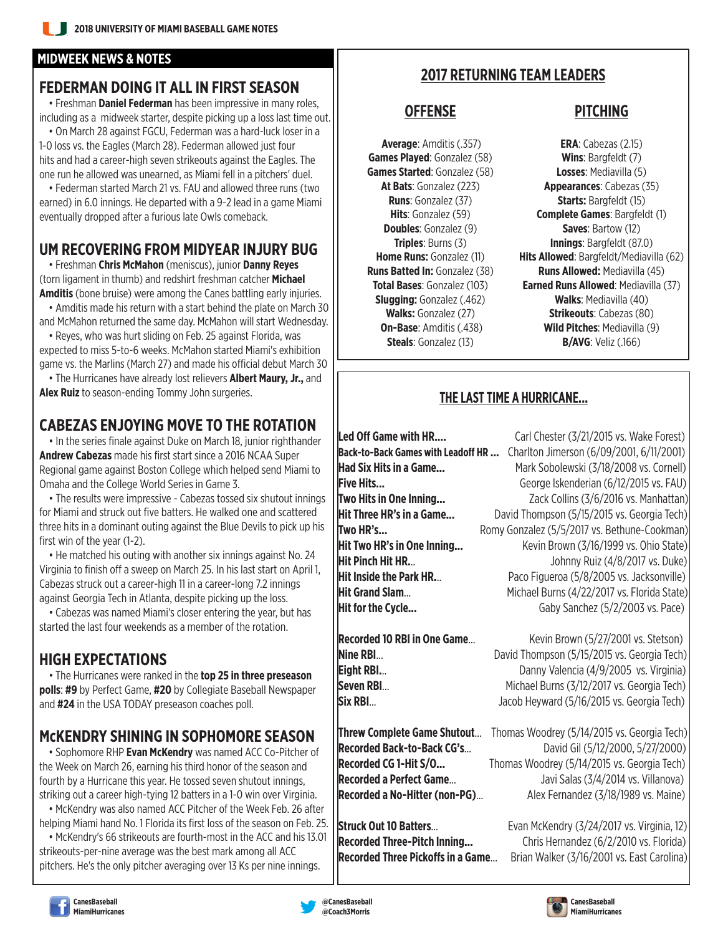#### **MIDWEEK NEWS & NOTES**

#### **FEDERMAN DOING IT ALL IN FIRST SEASON**

• Freshman **Daniel Federman** has been impressive in many roles, including as a midweek starter, despite picking up a loss last time out.

• On March 28 against FGCU, Federman was a hard-luck loser in a 1-0 loss vs. the Eagles (March 28). Federman allowed just four hits and had a career-high seven strikeouts against the Eagles. The one run he allowed was unearned, as Miami fell in a pitchers' duel.

• Federman started March 21 vs. FAU and allowed three runs (two earned) in 6.0 innings. He departed with a 9-2 lead in a game Miami eventually dropped after a furious late Owls comeback.

#### **UM RECOVERING FROM MIDYEAR INJURY BUG**

• Freshman **Chris McMahon** (meniscus), junior **Danny Reyes** (torn ligament in thumb) and redshirt freshman catcher **Michael Amditis** (bone bruise) were among the Canes battling early injuries.

• Amditis made his return with a start behind the plate on March 30 and McMahon returned the same day. McMahon will start Wednesday.

• Reyes, who was hurt sliding on Feb. 25 against Florida, was expected to miss 5-to-6 weeks. McMahon started Miami's exhibition game vs. the Marlins (March 27) and made his official debut March 30

• The Hurricanes have already lost relievers **Albert Maury, Jr.,** and **Alex Ruiz** to season-ending Tommy John surgeries.

### **CABEZAS ENJOYING MOVE TO THE ROTATION**

• In the series finale against Duke on March 18, junior righthander **Andrew Cabezas** made his first start since a 2016 NCAA Super Regional game against Boston College which helped send Miami to Omaha and the College World Series in Game 3.

• The results were impressive - Cabezas tossed six shutout innings for Miami and struck out five batters. He walked one and scattered three hits in a dominant outing against the Blue Devils to pick up his first win of the year (1-2).

• He matched his outing with another six innings against No. 24 Virginia to finish off a sweep on March 25. In his last start on April 1, Cabezas struck out a career-high 11 in a career-long 7.2 innings against Georgia Tech in Atlanta, despite picking up the loss.

• Cabezas was named Miami's closer entering the year, but has started the last four weekends as a member of the rotation.

#### **HIGH EXPECTATIONS**

• The Hurricanes were ranked in the **top 25 in three preseason polls**: **#9** by Perfect Game, **#20** by Collegiate Baseball Newspaper and **#24** in the USA TODAY preseason coaches poll.

#### **McKENDRY SHINING IN SOPHOMORE SEASON**

• Sophomore RHP **Evan McKendry** was named ACC Co-Pitcher of the Week on March 26, earning his third honor of the season and fourth by a Hurricane this year. He tossed seven shutout innings, striking out a career high-tying 12 batters in a 1-0 win over Virginia.

• McKendry was also named ACC Pitcher of the Week Feb. 26 after helping Miami hand No. 1 Florida its first loss of the season on Feb. 25.

• McKendry's 66 strikeouts are fourth-most in the ACC and his 13.01 strikeouts-per-nine average was the best mark among all ACC pitchers. He's the only pitcher averaging over 13 Ks per nine innings.

#### **2017 RETURNING TEAM LEADERS**

**Games Played**: Gonzalez (58) **Wins**: Bargfeldt (7) **Games Started**: Gonzalez (58) **Losses**: Mediavilla (5)

#### **OFFENSE PITCHING**

 **Average**: Amditis (.357) **ERA**: Cabezas (2.15) **At Bats**: Gonzalez (223) **Appearances**: Cabezas (35) **Runs**: Gonzalez (37) **Starts:** Bargfeldt (15) **Hits**: Gonzalez (59) **Complete Games**: Bargfeldt (1) **Doubles:** Gonzalez (9) **Saves:** Bartow (12) **Triples**: Burns (3) **Innings**: Bargfeldt (87.0) **Home Runs:** Gonzalez (11) **Hits Allowed**: Bargfeldt/Mediavilla (62) **Runs Batted In:** Gonzalez (38) **Runs Allowed:** Mediavilla (45) **Total Bases**: Gonzalez (103) **Earned Runs Allowed**: Mediavilla (37) **Slugging:** Gonzalez (.462) **Walks**: Mediavilla (40) **Walks:** Gonzalez (27) **Strikeouts**: Cabezas (80) **On-Base**: Amditis (.438) **Wild Pitches**: Mediavilla (9) **Steals**: Gonzalez (13) **B/AVG**: Veliz (.166)

#### **THE LAST TIME A HURRICANE...**

Led Off Game with HR.... **Carl Chester (3/21/2015 vs. Wake Forest) Back-to-Back Games with Leadoff HR ...** Charlton Jimerson (6/09/2001, 6/11/2001) **Had Six Hits in a Game...** Mark Sobolewski (3/18/2008 vs. Cornell) **Five Hits... Filter Example 2018** George Iskenderian (6/12/2015 vs. FAU) **Two Hits in One Inning... Colling** Zack Collins (3/6/2016 vs. Manhattan) **Hit Three HR's in a Game...** David Thompson (5/15/2015 vs. Georgia Tech) **Two HR's... Romy Gonzalez (5/5/2017 vs. Bethune-Cookman) Hit Two HR's in One Inning...** Kevin Brown (3/16/1999 vs. Ohio State) **Hit Pinch Hit HR... History Ruiz (4/8/2017 vs. Duke) Hit Inside the Park HR...** Paco Figueroa (5/8/2005 vs. Jacksonville) **Hit Grand Slam...** Michael Burns (4/22/2017 vs. Florida State) **Hit for the Cycle...** Caby Sanchez (5/2/2003 vs. Pace)

**Recorded 10 RBI in One Game...** Kevin Brown (5/27/2001 vs. Stetson) **Nine RBI... Nine RBI...** David Thompson (5/15/2015 vs. Georgia Tech) **Eight RBI... Eight RBI... Eight RBI... Eight RBI... Eight RBI... Eight RBI... Eight RBI... Eight RBI... Eight RBI... Eight RBI... Eight RBI... Eight RBI... Eight RBI... Eight RBI... Eight RBI.. Seven RBI...** Michael Burns (3/12/2017 vs. Georgia Tech) **Six RBI...** Jacob Heyward (5/16/2015 vs. Georgia Tech)

**Threw Complete Game Shutout**... Thomas Woodrey (5/14/2015 vs. Georgia Tech) **Recorded Back-to-Back CG's...** David Gil (5/12/2000, 5/27/2000) **Recorded CG 1-Hit S/O...** Thomas Woodrey (5/14/2015 vs. Georgia Tech) **Recorded a Perfect Game...** Javi Salas (3/4/2014 vs. Villanova) **Recorded a No-Hitter (non-PG)...** Alex Fernandez (3/18/1989 vs. Maine)

**Struck Out 10 Batters...** Evan McKendry (3/24/2017 vs. Virginia, 12) **Recorded Three-Pitch Inning...** Chris Hernandez (6/2/2010 vs. Florida) **Recorded Three Pickoffs in a Game**... Brian Walker (3/16/2001 vs. East Carolina)



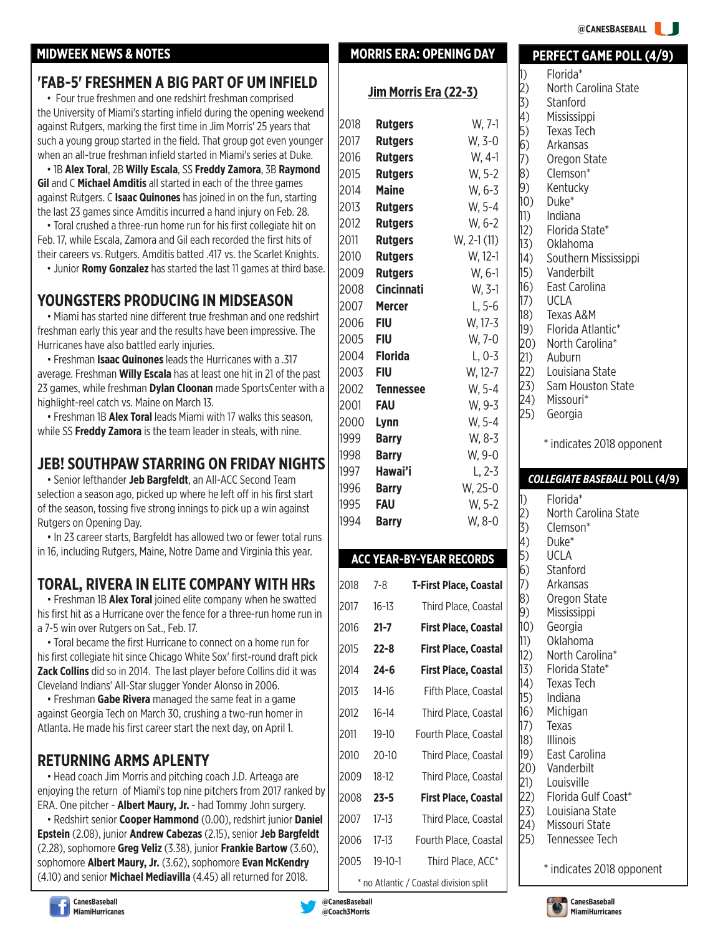#### **@CANESBASEBALL**

#### **MIDWEEK NEWS & NOTES MORRIS ERA: OPENING DAY**

#### **'FAB-5' FRESHMEN A BIG PART OF UM INFIELD**

• Four true freshmen and one redshirt freshman comprised the University of Miami's starting infield during the opening weekend against Rutgers, marking the first time in Jim Morris' 25 years that such a young group started in the field. That group got even younger when an all-true freshman infield started in Miami's series at Duke.

• 1B **Alex Toral**, 2B **Willy Escala**, SS **Freddy Zamora**, 3B **Raymond Gil** and C **Michael Amditis** all started in each of the three games against Rutgers. C **Isaac Quinones** has joined in on the fun, starting the last 23 games since Amditis incurred a hand injury on Feb. 28.

• Toral crushed a three-run home run for his first collegiate hit on Feb. 17, while Escala, Zamora and Gil each recorded the first hits of their careers vs. Rutgers. Amditis batted .417 vs. the Scarlet Knights.

• Junior **Romy Gonzalez** has started the last 11 games at third base.

#### **YOUNGSTERS PRODUCING IN MIDSEASON**

• Miami has started nine different true freshman and one redshirt freshman early this year and the results have been impressive. The Hurricanes have also battled early injuries.

• Freshman **Isaac Quinones** leads the Hurricanes with a .317 average. Freshman **Willy Escala** has at least one hit in 21 of the past 23 games, while freshman **Dylan Cloonan** made SportsCenter with a highlight-reel catch vs. Maine on March 13.

• Freshman 1B **Alex Toral** leads Miami with 17 walks this season, while SS **Freddy Zamora** is the team leader in steals, with nine.

#### **JEB! SOUTHPAW STARRING ON FRIDAY NIGHTS**

• Senior lefthander **Jeb Bargfeldt**, an All-ACC Second Team selection a season ago, picked up where he left off in his first start of the season, tossing five strong innings to pick up a win against Rutgers on Opening Day.

• In 23 career starts, Bargfeldt has allowed two or fewer total runs in 16, including Rutgers, Maine, Notre Dame and Virginia this year.

#### **TORAL, RIVERA IN ELITE COMPANY WITH HRs**

• Freshman 1B **Alex Toral** joined elite company when he swatted his first hit as a Hurricane over the fence for a three-run home run in a 7-5 win over Rutgers on Sat., Feb. 17.

• Toral became the first Hurricane to connect on a home run for his first collegiate hit since Chicago White Sox' first-round draft pick **Zack Collins** did so in 2014. The last player before Collins did it was Cleveland Indians' All-Star slugger Yonder Alonso in 2006.

• Freshman **Gabe Rivera** managed the same feat in a game against Georgia Tech on March 30, crushing a two-run homer in Atlanta. He made his first career start the next day, on April 1.

#### **RETURNING ARMS APLENTY**

• Head coach Jim Morris and pitching coach J.D. Arteaga are enjoying the return of Miami's top nine pitchers from 2017 ranked by ERA. One pitcher - **Albert Maury, Jr.** - had Tommy John surgery.

• Redshirt senior **Cooper Hammond** (0.00), redshirt junior **Daniel Epstein** (2.08), junior **Andrew Cabezas** (2.15), senior **Jeb Bargfeldt** (2.28), sophomore **Greg Veliz** (3.38), junior **Frankie Bartow** (3.60), sophomore **Albert Maury, Jr.** (3.62), sophomore **Evan McKendry** (4.10) and senior **Michael Mediavilla** (4.45) all returned for 2018.

|              |                                  | Jim Morris Era (22-3)           |                               | 11)<br> 2)<br>3)  | Florida<br>North<br>Stanfo |
|--------------|----------------------------------|---------------------------------|-------------------------------|-------------------|----------------------------|
|              |                                  |                                 |                               | 4)                | <b>Mississ</b>             |
| 2018         | <b>Rutgers</b>                   |                                 | W, 7-1                        | 5)                | Texas <sup>-</sup>         |
| 2017<br>2016 | <b>Rutgers</b>                   |                                 | W, 3-0<br>W, 4-1              | (6)               | Arkans                     |
| 2015         | <b>Rutgers</b><br><b>Rutgers</b> |                                 | W, 5-2                        | 7)<br>$ 8\rangle$ | Orego<br>Clems             |
| 2014         | <b>Maine</b>                     |                                 | W, 6-3                        | 9)                | Kentu                      |
| 2013         | <b>Rutgers</b>                   |                                 | W, 5-4                        | 10)               | Duke*                      |
| 2012         | <b>Rutgers</b>                   |                                 | W, 6-2                        | $ 11\rangle$      | Indian                     |
| 2011         | <b>Rutgers</b>                   |                                 | $W, 2-1(11)$                  | 12)               | Florida                    |
| 2010         | <b>Rutgers</b>                   |                                 | W, 12-1                       | 13)<br>14)        | Oklaho<br>South            |
| 2009         | <b>Rutgers</b>                   |                                 | W, 6-1                        | 15)               | Vande                      |
| 2008         | <b>Cincinnati</b>                |                                 | W, 3-1                        | 16)               | East C                     |
| 2007         | <b>Mercer</b>                    |                                 | $L, 5-6$                      | 17)               | <b>UCLA</b>                |
| 2006         | <b>FIU</b>                       |                                 | W, 17-3                       | 18)               | Texas                      |
| 2005         | <b>FIU</b>                       |                                 | W, 7-0                        | 19)<br>20)        | Florida<br>North           |
| 2004         | <b>Florida</b>                   |                                 | $L, 0-3$                      | 21)               | Aubur                      |
| 2003         | <b>FIU</b>                       |                                 | W, 12-7                       | (22)              | Louisia                    |
| 2002         | <b>Tennessee</b>                 |                                 | W, 5-4                        | 23)               | Sam H                      |
| 2001         | <b>FAU</b>                       |                                 | W, 9-3                        | 24)               | Missou                     |
| 2000         | Lynn                             |                                 | W, 5-4                        | 25)               | Georgi                     |
| 1999         | <b>Barry</b>                     |                                 | W, 8-3                        |                   | * indica                   |
| 1998         | <b>Barry</b>                     |                                 | W, 9-0                        |                   |                            |
| 1997         | Hawai'i                          |                                 | $L, 2-3$                      |                   | <b>COLLEGIAT</b>           |
| 1996         | <b>Barry</b>                     |                                 | W, 25-0                       |                   |                            |
| 1995         | <b>FAU</b>                       |                                 | W, 5-2                        | 1)                | Florida<br>North           |
| 1994         | <b>Barry</b>                     |                                 | W, 8-0                        | 2)<br>3)          | Clems                      |
|              |                                  |                                 |                               | 4)                | Duke*                      |
|              |                                  | <b>ACC YEAR-BY-YEAR RECORDS</b> |                               | 5)                | <b>UCLA</b>                |
|              |                                  |                                 |                               | 6)                | Stanfo                     |
| 2018         | $7 - 8$                          |                                 | <b>T-First Place, Coastal</b> | (7)<br> 8)        | Arkans<br>Orego            |
| 2017         | $16 - 13$                        |                                 | Third Place, Coastal          | 9)                | <b>Mississ</b>             |
| 2016         | $21 - 7$                         |                                 | <b>First Place, Coastal</b>   | 10)               | Georgi                     |
| 2015         | $22 - 8$                         |                                 | <b>First Place, Coastal</b>   | 11)<br>12)        | Oklaho<br>North            |
| 2014         | $24 - 6$                         |                                 | <b>First Place, Coastal</b>   | 13)               | Florida                    |
| 2013         | $14-16$                          |                                 | Fifth Place, Coastal          | 14)<br>15)        | Texas<br>Indian            |
| 2012         | $16 - 14$                        |                                 | Third Place, Coastal          | 16)               | Michig                     |
| 2011         | $19 - 10$                        |                                 | Fourth Place, Coastal         | 17)               | Texas                      |
| 2010         | $20 - 10$                        |                                 | Third Place, Coastal          | 18)<br>19)        | Illinois<br>East C         |
| 2009         | $18-12$                          |                                 | Third Place, Coastal          | 20)               | Vande                      |
| 2008         | $23 - 5$                         |                                 | <b>First Place, Coastal</b>   | 21)<br>22)        | Louisv<br>Florida          |
| 2007         | $17 - 13$                        |                                 | Third Place, Coastal          | 23)               | Louisia                    |
|              |                                  |                                 |                               | 24)<br>25)        | Missou<br>Tenne:           |
| 2006         | $17-13$                          |                                 | Fourth Place, Coastal         |                   |                            |

**PERFECT GAME POLL (4/9)**  $a^*$ Carolina State  $\mathsf{Ind}$ sippi **Tech**  $s$ )n State  $\mathsf{on}^*$ cky 11) Indiana a State\* oma ern Mississippi erbilt `arolina A&M a Atlantic\* Carolina\* 21) Auburn ana State Iouston State  $\mathsf{uri}^*$ 25) Georgia ates 2018 opponent *COLLEGIATE BASEBALL* **POLL (4/9)** 1) Florida\* Carolina State  $\mathsf{on}^*$  $\mathsf{ord}$ sas on State sippi 10) Georgia oma Carolina\* a State\* Tech 15) Indiana 1an iarolina rbilt ille

- a Gulf Coast\*
- ana State
- uri State
- ssee Tech

\* indicates 2018 opponent







**@CanesBaseball @Coach3Morris**

2005 19-10-1 Third Place, ACC\* \* no Atlantic / Coastal division split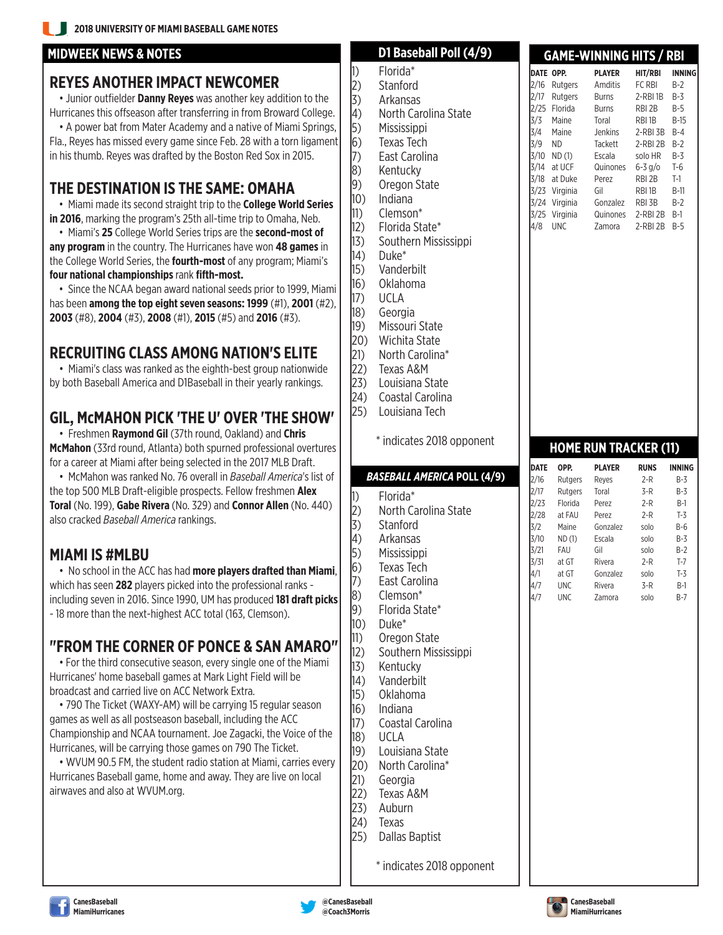#### **MIDWEEK NEWS & NOTES**

#### **REYES ANOTHER IMPACT NEWCOMER**

•Junior outfielder **Danny Reyes** was another key addition to the Hurricanes this offseason after transferring in from Broward College. • A power bat from Mater Academy and a native of Miami Springs, Fla., Reyes has missed every game since Feb. 28 with a torn ligament in his thumb. Reyes was drafted by the Boston Red Sox in 2015.

#### **THE DESTINATION IS THE SAME: OMAHA**

• Miami made its second straight trip to the **College World Series in 2016**, marking the program's 25th all-time trip to Omaha, Neb.

• Miami's **25** College World Series trips are the **second-most of any program** in the country. The Hurricanes have won **48 games** in the College World Series, the **fourth-most** of any program; Miami's **four national championships** rank **fifth-most.**

• Since the NCAA began award national seeds prior to 1999, Miami has been **among the top eight seven seasons: 1999** (#1), **2001** (#2), **2003** (#8), **2004** (#3), **2008** (#1), **2015** (#5) and **2016** (#3).

### **RECRUITING CLASS AMONG NATION'S ELITE**

• Miami's class was ranked as the eighth-best group nationwide by both Baseball America and D1Baseball in their yearly rankings.

#### **GIL, McMAHON PICK 'THE U' OVER 'THE SHOW'**

• Freshmen **Raymond Gil** (37th round, Oakland) and **Chris McMahon** (33rd round, Atlanta) both spurned professional overtures for a career at Miami after being selected in the 2017 MLB Draft.

• McMahon was ranked No. 76 overall in *Baseball America*'s list of the top 500 MLB Draft-eligible prospects. Fellow freshmen **Alex Toral** (No. 199), **Gabe Rivera** (No. 329) and **Connor Allen** (No. 440) also cracked *Baseball America* rankings.

#### **MIAMI IS #MLBU**

• No school in the ACC has had **more players drafted than Miami**, which has seen **282** players picked into the professional ranks including seven in 2016. Since 1990, UM has produced **181 draft picks** - 18 more than the next-highest ACC total (163, Clemson).

#### **"FROM THE CORNER OF PONCE & SAN AMARO"**

• For the third consecutive season, every single one of the Miami Hurricanes' home baseball games at Mark Light Field will be broadcast and carried live on ACC Network Extra.

• 790 The Ticket (WAXY-AM) will be carrying 15 regular season games as well as all postseason baseball, including the ACC Championship and NCAA tournament. Joe Zagacki, the Voice of the Hurricanes, will be carrying those games on 790 The Ticket.

• WVUM 90.5 FM, the student radio station at Miami, carries every Hurricanes Baseball game, home and away. They are live on local airwaves and also at WVUM.org.

|                    |                                    |             |                          | GAME-WINNING HIIS / KBI      |                  |               |
|--------------------|------------------------------------|-------------|--------------------------|------------------------------|------------------|---------------|
| 1)                 | Florida*                           |             | DATE OPP.                | <b>PLAYER</b>                | HIT/RBI          | <b>INNING</b> |
| $\left  2 \right)$ | Stanford                           | 2/16        | Rutgers                  | Amditis                      | FC RBI           | $B-2$         |
| 3)                 | Arkansas                           | 2/17        | Rutgers                  | Burns                        | $2$ -RBI $1B$    | $B-3$         |
| $\ket{4}$          | North Carolina State               | 3/3         | 2/25 Florida<br>Maine    | Burns<br>Toral               | RBI 2B<br>RBI 1B | B-5<br>$B-15$ |
| $\vert 5)$         | Mississippi                        | 3/4         | Maine                    |                              | 2-RBI 3B         | $B-4$         |
| $\vert 6)$         | <b>Texas Tech</b>                  | 3/9         | <b>ND</b>                | anus<br>Tackett<br>Fss       | 2-RBI 2B         | $B-2$         |
| $\vert 7)$         | East Carolina                      | 3/10        | ND(1)                    | Escala                       | solo HR          | B-3           |
| 8)                 | Kentucky                           | 3/14        | at UCF                   | Quinones                     | $6 - 3$ g/o      | $T-6$         |
| 9)                 | Oregon State                       | 3/18        | at Duke<br>3/23 Virginia | Perez<br>Gil                 | RBI 2B           | $T-1$         |
| 10)                | Indiana                            |             | 3/24 Virginia            | Gonzalez                     | RBI 1B<br>RBI 3B | B-11<br>$B-2$ |
| $ 11\rangle$       | Clemson*                           |             | 3/25 Virginia            | Quinones                     | 2-RBI 2B         | B-1           |
|                    | 12) Florida State*                 | 4/8         | <b>UNC</b>               | Zamora                       | 2-RBI 2B         | $B-5$         |
| 13)                | Southern Mississippi               |             |                          |                              |                  |               |
| (14)               | Duke*                              |             |                          |                              |                  |               |
| 15)                | Vanderbilt                         |             |                          |                              |                  |               |
| 16)                | Oklahoma                           |             |                          |                              |                  |               |
| 17)                | UCLA                               |             |                          |                              |                  |               |
| 18)                | Georgia                            |             |                          |                              |                  |               |
| 19)                | Missouri State                     |             |                          |                              |                  |               |
| (20)               | Wichita State                      |             |                          |                              |                  |               |
| (21)               | North Carolina*                    |             |                          |                              |                  |               |
| (22)               | Texas A&M                          |             |                          |                              |                  |               |
| 23)                | Louisiana State                    |             |                          |                              |                  |               |
| 24)                | Coastal Carolina                   |             |                          |                              |                  |               |
| 25)                | Louisiana Tech                     |             |                          |                              |                  |               |
|                    |                                    |             |                          |                              |                  |               |
|                    | * indicates 2018 opponent          |             |                          |                              |                  |               |
|                    |                                    |             |                          | <b>HOME RUN TRACKER (11)</b> |                  |               |
|                    |                                    | <b>DATE</b> | OPP.                     | <b>PLAYER</b>                | <b>RUNS</b>      | <b>INNING</b> |
|                    |                                    |             |                          |                              |                  |               |
|                    | <b>BASEBALL AMERICA POLL (4/9)</b> | 2/16        | Rutgers                  | Reyes                        | 2-R              | $B-3$         |
|                    | Florida*                           | 2/17        | Rutgers                  | Toral                        | 3-R              | B-3           |
| 1)                 | North Carolina State               | 2/23        | Florida                  | Perez                        | 2-R              | $B-1$         |
| $\left  2 \right)$ | Stanford                           | 2/28        | at FAU<br>Maine          | Perez<br>Gonzalez            | $2-R$<br>solo    | $T-3$<br>B-6  |
| 3)                 | Arkansas                           | 3/2<br>3/10 | ND(1)                    | Escala                       | solo             | B-3           |
| 4)                 |                                    | 3/21        | FAU                      | Gil                          | solo             | $B-2$         |
| $\vert 5)$         | Mississippi<br><b>Texas Tech</b>   | 3/31        | at GT                    | Rivera                       | $2-R$            | $T-7$         |
| $\vert 6)$         | Fast Carolina                      | 4/1         | at GT                    | Gonzalez                     | solo             | $T-3$         |
| $\left  7 \right)$ |                                    | 4/7         | <b>UNC</b>               | Rivera                       | 3-R              | B-I           |
| 8)                 | Clemson*                           | 4/7         | UNC                      | Zamora                       | solo             | B-7           |
| 9)                 | Florida State*                     |             |                          |                              |                  |               |
| 10)                | Duke*                              |             |                          |                              |                  |               |
| $ 11\rangle$       | Oregon State                       |             |                          |                              |                  |               |
|                    | 12) Southern Mississippi           |             |                          |                              |                  |               |
| 13)                | Kentucky                           |             |                          |                              |                  |               |
| (14)               | Vanderbilt                         |             |                          |                              |                  |               |
| 15)                | Oklahoma                           |             |                          |                              |                  |               |
| 16)                | Indiana                            |             |                          |                              |                  |               |
| (17)               | Coastal Carolina                   |             |                          |                              |                  |               |
| 18)                | UCLA                               |             |                          |                              |                  |               |
| 19)                | Louisiana State                    |             |                          |                              |                  |               |
| (20)               | North Carolina*                    |             |                          |                              |                  |               |
| (21)               | Georgia                            |             |                          |                              |                  |               |
| (22)               | Texas A&M                          |             |                          |                              |                  |               |
| (23)               | Auburn                             |             |                          |                              |                  |               |
| 24)                | Texas                              |             |                          |                              |                  |               |
| 25)                | <b>Dallas Baptist</b>              |             |                          |                              |                  |               |

**D1 Baseball Poll (4/9)**





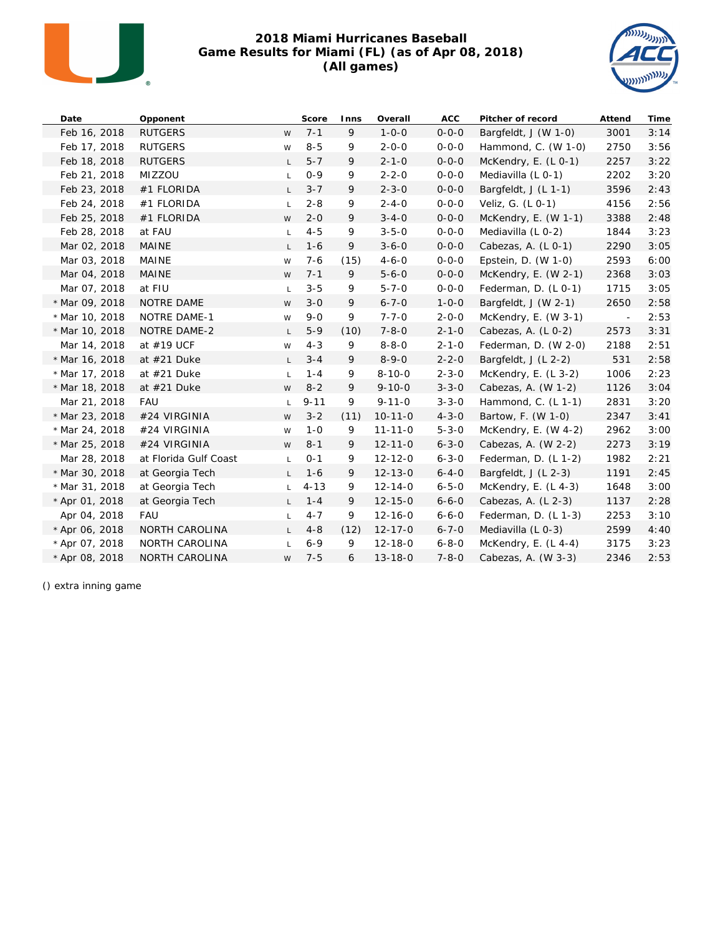

#### **2018 Miami Hurricanes Baseball Game Results for Miami (FL) (as of Apr 08, 2018) (All games)**



| Date           | Opponent              |              | Score    | Inns | Overall       | ACC         | Pitcher of record      | Attend | Time |
|----------------|-----------------------|--------------|----------|------|---------------|-------------|------------------------|--------|------|
| Feb 16, 2018   | <b>RUTGERS</b>        | W            | $7 - 1$  | 9    | $1 - 0 - 0$   | $0 - 0 - 0$ | Bargfeldt, J (W 1-0)   | 3001   | 3:14 |
| Feb 17, 2018   | <b>RUTGERS</b>        | W            | $8 - 5$  | 9    | $2 - 0 - 0$   | $0 - 0 - 0$ | Hammond, C. $(W 1-0)$  | 2750   | 3:56 |
| Feb 18, 2018   | <b>RUTGERS</b>        | L.           | $5 - 7$  | 9    | $2 - 1 - 0$   | $0 - 0 - 0$ | McKendry, E. (L 0-1)   | 2257   | 3:22 |
| Feb 21, 2018   | MIZZOU                | L.           | $0 - 9$  | 9    | $2 - 2 - 0$   | $0 - 0 - 0$ | Mediavilla (L 0-1)     | 2202   | 3:20 |
| Feb 23, 2018   | #1 FLORIDA            | L.           | $3 - 7$  | 9    | $2 - 3 - 0$   | $0 - 0 - 0$ | Bargfeldt, J (L 1-1)   | 3596   | 2:43 |
| Feb 24, 2018   | #1 FLORIDA            | L            | $2 - 8$  | 9    | $2 - 4 - 0$   | $0 - 0 - 0$ | Veliz, G. (L 0-1)      | 4156   | 2:56 |
| Feb 25, 2018   | #1 FLORIDA            | W            | $2 - 0$  | 9    | $3 - 4 - 0$   | $0 - 0 - 0$ | McKendry, E. $(W 1-1)$ | 3388   | 2:48 |
| Feb 28, 2018   | at FAU                | L.           | $4 - 5$  | 9    | $3 - 5 - 0$   | $0 - 0 - 0$ | Mediavilla (L 0-2)     | 1844   | 3:23 |
| Mar 02, 2018   | MAINE                 | L.           | $1 - 6$  | 9    | $3 - 6 - 0$   | $0 - 0 - 0$ | Cabezas, A. (L 0-1)    | 2290   | 3:05 |
| Mar 03, 2018   | <b>MAINE</b>          | W            | $7 - 6$  | (15) | $4 - 6 - 0$   | $0 - 0 - 0$ | Epstein, D. (W 1-0)    | 2593   | 6:00 |
| Mar 04, 2018   | <b>MAINE</b>          | W            | $7 - 1$  | 9    | $5 - 6 - 0$   | $0 - 0 - 0$ | McKendry, E. $(W 2-1)$ | 2368   | 3:03 |
| Mar 07, 2018   | at FIU                | L.           | $3 - 5$  | 9    | $5 - 7 - 0$   | $0 - 0 - 0$ | Federman, D. (L 0-1)   | 1715   | 3:05 |
| * Mar 09, 2018 | NOTRE DAME            | W            | $3 - 0$  | 9    | $6 - 7 - 0$   | $1 - 0 - 0$ | Bargfeldt, J (W 2-1)   | 2650   | 2:58 |
| * Mar 10, 2018 | NOTRE DAME-1          | W            | $9 - 0$  | 9    | $7 - 7 - 0$   | $2 - 0 - 0$ | McKendry, E. (W 3-1)   | $\sim$ | 2:53 |
| * Mar 10, 2018 | NOTRE DAME-2          | L.           | $5 - 9$  | (10) | $7 - 8 - 0$   | $2 - 1 - 0$ | Cabezas, A. (L 0-2)    | 2573   | 3:31 |
| Mar 14, 2018   | at #19 UCF            | W            | $4 - 3$  | 9    | $8 - 8 - 0$   | $2 - 1 - 0$ | Federman, D. (W 2-0)   | 2188   | 2:51 |
| * Mar 16, 2018 | at $#21$ Duke         | $\mathsf{L}$ | $3 - 4$  | 9    | $8 - 9 - 0$   | $2 - 2 - 0$ | Bargfeldt, J (L 2-2)   | 531    | 2:58 |
| * Mar 17, 2018 | at $#21$ Duke         | L            | $1 - 4$  | 9    | $8 - 10 - 0$  | $2 - 3 - 0$ | McKendry, E. $(L_3-2)$ | 1006   | 2:23 |
| * Mar 18, 2018 | at $#21$ Duke         | W            | $8 - 2$  | 9    | $9 - 10 - 0$  | $3 - 3 - 0$ | Cabezas, A. $(W 1-2)$  | 1126   | 3:04 |
| Mar 21, 2018   | FAU                   | L            | $9 - 11$ | 9    | $9 - 11 - 0$  | $3 - 3 - 0$ | Hammond, C. (L 1-1)    | 2831   | 3:20 |
| * Mar 23, 2018 | #24 VIRGINIA          | W            | $3 - 2$  | (11) | $10-11-0$     | $4 - 3 - 0$ | Bartow, F. (W 1-0)     | 2347   | 3:41 |
| * Mar 24, 2018 | #24 VIRGINIA          | W            | $1 - 0$  | 9    | $11 - 11 - 0$ | $5 - 3 - 0$ | McKendry, E. (W 4-2)   | 2962   | 3:00 |
| * Mar 25, 2018 | #24 VIRGINIA          | W            | $8 - 1$  | 9    | $12 - 11 - 0$ | $6 - 3 - 0$ | Cabezas, A. (W 2-2)    | 2273   | 3:19 |
| Mar 28, 2018   | at Florida Gulf Coast | L.           | $0 - 1$  | 9    | $12 - 12 - 0$ | $6 - 3 - 0$ | Federman, D. $(L 1-2)$ | 1982   | 2:21 |
| * Mar 30, 2018 | at Georgia Tech       | L            | $1 - 6$  | 9    | $12 - 13 - 0$ | $6 - 4 - 0$ | Bargfeldt, $J(L_2-3)$  | 1191   | 2:45 |
| * Mar 31, 2018 | at Georgia Tech       | L.           | $4 - 13$ | 9    | $12 - 14 - 0$ | $6 - 5 - 0$ | McKendry, E. $(L 4-3)$ | 1648   | 3:00 |
| * Apr 01, 2018 | at Georgia Tech       | L.           | $1 - 4$  | 9    | $12 - 15 - 0$ | $6 - 6 - 0$ | Cabezas, A. $(L 2-3)$  | 1137   | 2:28 |
| Apr 04, 2018   | <b>FAU</b>            | L.           | $4 - 7$  | 9    | $12 - 16 - 0$ | $6 - 6 - 0$ | Federman, D. $(L 1-3)$ | 2253   | 3:10 |
| * Apr 06, 2018 | NORTH CAROLINA        | L.           | $4 - 8$  | (12) | $12 - 17 - 0$ | $6 - 7 - 0$ | Mediavilla (L 0-3)     | 2599   | 4:40 |
| * Apr 07, 2018 | NORTH CAROLINA        | L            | $6 - 9$  | 9    | $12 - 18 - 0$ | $6 - 8 - 0$ | McKendry, E. $(L 4-4)$ | 3175   | 3:23 |
| * Apr 08, 2018 | NORTH CAROLINA        | W            | $7 - 5$  | 6    | $13 - 18 - 0$ | $7 - 8 - 0$ | Cabezas, A. (W 3-3)    | 2346   | 2:53 |

() extra inning game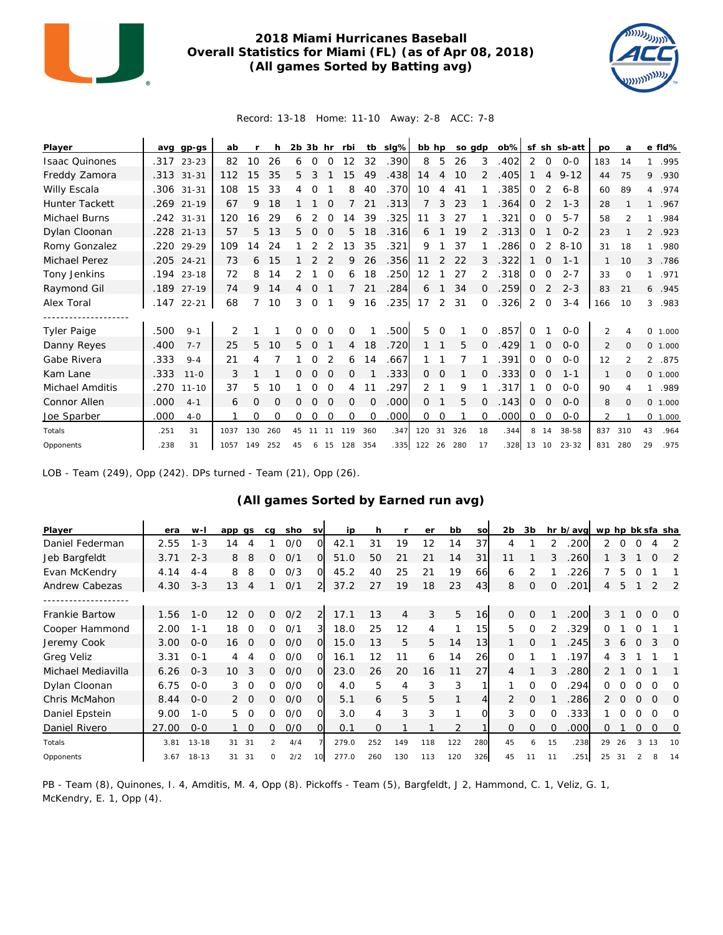

#### **2018 Miami Hurricanes Baseball Overall Statistics for Miami (FL) (as of Apr 08, 2018) (All games Sorted by Batting avg)**



Record: 13-18 Home: 11-10 Away: 2-8 ACC: 7-8

| Player                 | ava  | $qp-gs$    | ab             |     | h   |    | $2b$ $3b$ hr |          | rbi      | tb  | slg% | bb hp    |          | so adp |          | $ob\%$ |          |          | sf sh sb-att | <b>DO</b>    | a              |                | e fld%   |
|------------------------|------|------------|----------------|-----|-----|----|--------------|----------|----------|-----|------|----------|----------|--------|----------|--------|----------|----------|--------------|--------------|----------------|----------------|----------|
| <b>Isaac Quinones</b>  | .317 | $23 - 23$  | 82             | 10  | 26  | 6  | $\Omega$     | $\Omega$ | 12       | 32  | .390 | 8        | 5        | 26     | 3        | .402   | 2        | $\circ$  | $O - O$      | 183          | 14             | 1              | .995     |
| Freddy Zamora          |      | .313 31-31 | 112            | 15  | 35  | 5. | 3            |          | 15       | 49  | .438 | 14       | 4        | 10     |          | .405   |          | 4        | $9 - 12$     | 44           | 75             | 9              | .930     |
| Willy Escala           | .306 | $31 - 31$  | 108            | 15  | 33  | 4  | 0            |          | 8        | 40  | .370 | 10       | 4        | 41     |          | 385    | 0        | 2        | $6 - 8$      | 60           | 89             | 4              | .974     |
| <b>Hunter Tackett</b>  | .269 | $21 - 19$  | 67             | 9   | 18  |    |              | $\Omega$ |          | 21  | .313 | 7        | 3        | 23     |          | .364   | 0        | 2        | $1 - 3$      | 28           |                | $\mathbf{1}$   | .967     |
| Michael Burns          |      | .242 31-31 | 120            | 16  | 29  | 6  |              |          | 14       | 39  | .325 | 11       | 3        | 27     |          | .321   | 0        | $\Omega$ | $5 - 7$      | 58           |                | 1              | .984     |
| Dylan Cloonan          | .228 | $21 - 13$  | 57             | 5   | 13  | 5. | $\Omega$     | $\Omega$ | 5        | 18  | .316 | 6        |          | 19     | 2        | .313   | 0        |          | $0 - 2$      | 23           |                | $\overline{2}$ | .923     |
| Romy Gonzalez          |      | .220 29-29 | 109            | 14  | 24  |    | 2            | 2        | 13       | 35  | .321 | 9        |          | 37     |          | .286   | 0        | 2        | $8 - 10$     | 31           | 18             | $\mathbf{1}$   | .980     |
| Michael Perez          |      | .205 24-21 | 73             | 6   | 15  |    |              |          | 9        | 26  | .356 | 11       | 2        | 22     | 3        | .322   |          | $\Omega$ | $1 - 1$      |              | 10             | 3              | .786     |
| Tony Jenkins           | .194 | $23 - 18$  | 72             | 8   | 14  |    |              | $\Omega$ | 6        | 18  | .250 | 12       |          | 27     |          | .318   | 0        | $\Omega$ | $2 - 7$      | 33           | $\Omega$       | 1              | .971     |
| Raymond Gil            | .189 | $27 - 19$  | 74             | 9   | 14  | 4  | 0            |          | 7        | 21  | .284 | 6        |          | 34     | 0        | .259   | 0        | 2        | $2 - 3$      | 83           | 21             | 6              | .945     |
| Alex Toral             | .147 | $22 - 21$  | 68             | 7   | 10  | 3  | 0            |          | 9        | 16  | .235 | 17       | 2        | 31     | $\Omega$ | .326   | 2        | 0        | $3 - 4$      | 166          | 10             | 3              | .983     |
|                        |      |            |                |     |     |    |              |          |          |     |      |          |          |        |          |        |          |          |              |              |                |                |          |
| <b>Tyler Paige</b>     | .500 | $9 - 1$    | $\overline{2}$ |     |     | 0  | $\Omega$     | $\Omega$ | 0        |     | .500 | 5        | $\Omega$ |        | $\Omega$ | .857   | $\Omega$ |          | $O - O$      | 2            | 4              |                | 0 1.000  |
| Danny Reyes            | .400 | $7 - 7$    | 25             | 5.  | 10  | 5  | 0            |          | 4        | 18  | .720 |          |          | 5      | 0        | .429   |          | 0        | $O - O$      | 2            | $\Omega$       |                | 0, 1,000 |
| Gabe Rivera            | .333 | $9 - 4$    | 21             | 4   |     |    | Ω            |          | 6        | 14  | .667 |          |          |        |          | .391   | 0        | $\Omega$ | $O - O$      | 12           | $\mathfrak{p}$ | $\overline{2}$ | .875     |
| Kam Lane               | .333 | $11 - 0$   | 3              |     |     | 0  | 0            | $\Omega$ | 0        |     | .333 | $\Omega$ | 0        |        | O        | .333   | 0        | $\Omega$ | $1 - 1$      | $\mathbf{1}$ | $\Omega$       |                | 0 1.000  |
| <b>Michael Amditis</b> | .270 | $11 - 10$  | 37             | 5.  | 10  |    | 0            | $\Omega$ | 4        | 11  | .297 | 2        |          | 9      |          | .317   |          | $\Omega$ | $O - O$      | 90           | 4              | 1              | .989     |
| Connor Allen           | .000 | $4 - 1$    | 6              | 0   | 0   | Ω  | Ω            | O        | 0        | 0   | .000 | 0        |          | 5      | $\Omega$ | .143   | 0        | 0        | $O-O$        | 8            | 0              |                | 0, 1,000 |
| Joe Sparber            | .000 | $4 - 0$    |                | 0   | O   | 0  | O            | $\Omega$ | $\Omega$ | O   | .000 | $\Omega$ | $\Omega$ |        | $\Omega$ | .000   | 0        | $\Omega$ | $O - O$      | 2            |                |                | 0 1.000  |
| Totals                 | .251 | 31         | 1037           | 130 | 260 | 45 | 11           |          | 119      | 360 | .347 | 120      | 31       | 326    | 18       | .344   | 8        | 14       | 38-58        | 837          | 310            | 43             | .964     |
| Opponents              | .238 | 31         | 1057           | 149 | 252 | 45 | 6            | 15       | 128      | 354 | .335 | 122 26   |          | 280    | 17       | .328   | 13 10    |          | $23 - 32$    | 831          | 280            | 29             | .975     |

LOB - Team (249), Opp (242). DPs turned - Team (21), Opp (26).

#### **(All games Sorted by Earned run avg)**

| Player             | era   | w-l       | app             | as             | ca | sho | <b>SV</b>      | ip    |          |                | er  | bb  | SO  | 2 <sub>b</sub> | 3b            |          | hr b/avg | wp hp bk sfa sha |          |          |          |          |
|--------------------|-------|-----------|-----------------|----------------|----|-----|----------------|-------|----------|----------------|-----|-----|-----|----------------|---------------|----------|----------|------------------|----------|----------|----------|----------|
| Daniel Federman    | 2.55  | $1 - 3$   | 14              | 4              |    | O/O | Ω              | 42.1  | 31       | 19             | 12  | 14  | 37  | 4              |               |          | 200      |                  |          |          |          |          |
| Jeb Bargfeldt      | 3.71  | $2 - 3$   | 8               | 8              | 0  | O/1 | 0              | 51.0  | 50       | 21             | 21  | 14  | 31  | 11             |               | 3        | 260      |                  | 3.       |          | O        | 2        |
| Evan McKendry      | 4.14  | $4 - 4$   | 8               | 8              | 0  | O/3 | $\Omega$       | 45.2  | 40       | 25             | 21  | 19  | 66  | 6              | 2             |          | 226      |                  | 5.       | 0        |          |          |
| Andrew Cabezas     | 4.30  | $3 - 3$   | 13              | 4              |    | O/1 | $\overline{2}$ | 37.2  | 27       | 19             | 18  | 23  | 43  | 8              | $\mathcal{O}$ | $\Omega$ | 201      | 4                | 5        |          |          | 2        |
|                    |       |           |                 |                |    |     |                |       |          |                |     |     |     |                |               |          |          |                  |          |          |          |          |
| Frankie Bartow     | 1.56  | $1 - 0$   | 12 <sup>°</sup> | $\Omega$       | 0  | O/2 | 2              | 17.1  | 13       | $\overline{4}$ | 3   | 5   | 16  | $\Omega$       | $\Omega$      |          | .200     | 3                |          | $\Omega$ | $\Omega$ | 0        |
| Cooper Hammond     | 2.00  | $1 - 1$   | 18              | 0              | 0  | O/1 | 3              | 18.0  | 25       | 12             | 4   |     | 15  | 5              | $\Omega$      |          | 329      | O                |          |          |          |          |
| Jeremy Cook        | 3.00  | $0 - 0$   | 16              | 0              | 0  | 0/0 | $\overline{O}$ | 15.0  | 13       | 5              | 5   | 14  | 13  |                | $\Omega$      |          | 245      | 3                | 6        | $\Omega$ | 3        | $\Omega$ |
| <b>Greg Veliz</b>  | 3.31  | $O - 1$   | 4               | 4              | 0  | O/O | $\Omega$       | 16.1  | 12       | 11             | 6   | 14  | 26  | $\Omega$       |               |          | 197      | 4                |          |          |          |          |
| Michael Mediavilla | 6.26  | $0 - 3$   | 10              | 3              | 0  | O/O | $\Omega$       | 23.0  | 26       | 20             | 16  | 11  | 27  |                |               | 3        | 280      | 2                |          |          |          |          |
| Dylan Cloonan      | 6.75  | $0 - 0$   | 3               | $\overline{0}$ | 0  | O/O | O              | 4.0   | 5.       | $\overline{4}$ | 3   | 3   |     |                | $\Omega$      | $\Omega$ | 294      | 0                |          | 0        |          | O        |
| Chris McMahon      | 8.44  | $O - O$   |                 | $2\quad 0$     | 0  | O/O | $\Omega$       | 5.1   | 6        | 5              | 5   |     | 4   | 2              | $\Omega$      |          | 286      | 2                | $\Omega$ | $\Omega$ | $\Omega$ | $\Omega$ |
| Daniel Epstein     | 9.00  | $1 - 0$   | 5               | $\Omega$       | 0  | 0/0 | $\Omega$       | 3.0   | 4        | 3              | 3   |     |     | 3              | $\Omega$      | $\Omega$ | 333      |                  |          | 0        | ∩        | ∩        |
| Daniel Rivero      | 27.00 | $0 - 0$   |                 | $\Omega$       | 0  | O/O | $\Omega$       | 0.1   | $\Omega$ |                |     | 2   |     | $\Omega$       | $\Omega$      | $\Omega$ | 000      | Ω                |          | 0        | $\Omega$ | 0        |
| Totals             | 3.81  | $13 - 18$ | 31              | 31             |    | 4/4 |                | 279.0 | 252      | 149            | 118 | 122 | 280 | 45             | 6             | 15       | .238     | 29               | 26       |          | 13       | 10       |
| Opponents          | 3.67  | $18 - 13$ | 31              | 31             | 0  | 2/2 | 10             | 277.0 | 260      | 130            | 113 | 120 | 326 | 45             | 11            | 11       | .251     | 25               | 31       |          |          | 14       |

PB - Team (8), Quinones, I. 4, Amditis, M. 4, Opp (8). Pickoffs - Team (5), Bargfeldt, J 2, Hammond, C. 1, Veliz, G. 1, McKendry, E. 1, Opp (4).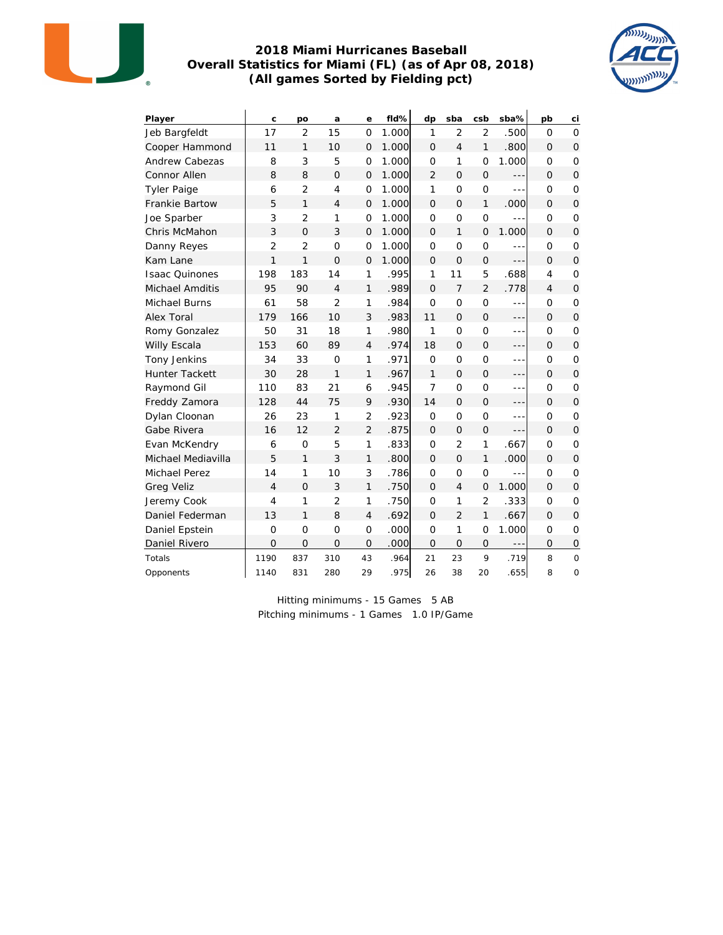

#### **2018 Miami Hurricanes Baseball Overall Statistics for Miami (FL) (as of Apr 08, 2018) (All games Sorted by Fielding pct)**



| Player                | C              | po             | a              | е              | fld%  | dp             | sba            | csb            | sba%          | pb             | сi                  |
|-----------------------|----------------|----------------|----------------|----------------|-------|----------------|----------------|----------------|---------------|----------------|---------------------|
| Jeb Bargfeldt         | 17             | $\overline{2}$ | 15             | $\Omega$       | 1.000 | 1              | $\overline{2}$ | $\overline{2}$ | .500          | $\Omega$       | $\Omega$            |
| Cooper Hammond        | 11             | $\mathbf{1}$   | 10             | $\Omega$       | 1.000 | $\Omega$       | $\overline{4}$ | 1              | .800          | $\Omega$       | $\Omega$            |
| Andrew Cabezas        | 8              | 3              | 5              | $\overline{O}$ | 1.000 | $\overline{O}$ | 1              | $\overline{O}$ | 1.000         | 0              | $\overline{O}$      |
| Connor Allen          | 8              | 8              | $\Omega$       | 0              | 1.000 | $\overline{2}$ | $\Omega$       | $\Omega$       |               | $\Omega$       | $\Omega$            |
| <b>Tyler Paige</b>    | 6              | $\overline{2}$ | 4              | $\overline{O}$ | 1.000 | 1              | $\overline{O}$ | $\mathcal{O}$  | $- - -$       | O              | $\mathcal{O}$       |
| Frankie Bartow        | 5              | $\mathbf{1}$   | $\overline{4}$ | $\overline{O}$ | 1.000 | $\Omega$       | $\overline{O}$ | $\mathbf{1}$   | .000          | $\Omega$       | $\overline{O}$      |
| Joe Sparber           | 3              | $\overline{2}$ | 1              | $\overline{O}$ | 1.000 | O              | $\overline{O}$ | $\mathbf 0$    | $- - -$       | O              | $\overline{O}$      |
| Chris McMahon         | 3              | $\Omega$       | 3              | $\overline{O}$ | 1.000 | $\Omega$       | $\mathbf{1}$   | $\Omega$       | 1.000         | $\Omega$       | $\Omega$            |
| Danny Reyes           | $\overline{2}$ | $\overline{2}$ | $\overline{O}$ | $\overline{O}$ | 1.000 | $\overline{O}$ | $\overline{O}$ | $\overline{O}$ | $- - -$       | 0              | $\circ$             |
| Kam Lane              | 1              | $\mathbf{1}$   | $\Omega$       | $\overline{O}$ | 1.000 | $\Omega$       | $\overline{O}$ | $\overline{O}$ | $---$         | $\Omega$       | $\overline{O}$      |
| <b>Isaac Quinones</b> | 198            | 183            | 14             | 1              | .995  | 1              | 11             | 5              | .688          | 4              | $\mathbf{O}$        |
| Michael Amditis       | 95             | 90             | $\overline{4}$ | $\mathbf{1}$   | .989  | $\Omega$       | $\overline{7}$ | $\overline{2}$ | .778          | 4              | $\Omega$            |
| Michael Burns         | 61             | 58             | $\overline{2}$ | 1              | .984  | $\Omega$       | $\overline{O}$ | $\mathbf 0$    | $- - -$       | O              | $\mathbf{O}$        |
| Alex Toral            | 179            | 166            | 10             | 3              | .983  | 11             | $\Omega$       | $\overline{O}$ | $---$         | $\Omega$       | $\overline{O}$      |
| Romy Gonzalez         | 50             | 31             | 18             | 1              | .980  | 1              | $\overline{O}$ | $\circ$        | $- - -$       | O              | $\mathbf{O}$        |
| Willy Escala          | 153            | 60             | 89             | $\overline{4}$ | .974  | 18             | $\overline{O}$ | $\mathcal{O}$  | $- - -$       | $\Omega$       | $\overline{O}$      |
| <b>Tony Jenkins</b>   | 34             | 33             | $\overline{O}$ | 1              | .971  | $\overline{O}$ | $\mathbf 0$    | 0              | $- - -$       | 0              | $\mathbf 0$         |
| <b>Hunter Tackett</b> | 30             | 28             | $\mathbf{1}$   | $\mathbf{1}$   | .967  | 1              | $\Omega$       | $\overline{O}$ | $- - -$       | $\Omega$       | $\Omega$            |
| Raymond Gil           | 110            | 83             | 21             | 6              | .945  | $\overline{7}$ | $\overline{O}$ | $\mathbf 0$    | $- - -$       | O              | $\circ$             |
| Freddy Zamora         | 128            | 44             | 75             | 9              | .930  | 14             | $\Omega$       | $\Omega$       | $- - -$       | $\Omega$       | $\Omega$            |
| Dylan Cloonan         | 26             | 23             | 1              | $\overline{2}$ | .923  | $\overline{O}$ | $\overline{O}$ | $\mathbf 0$    | $\frac{1}{2}$ | O              | $\mathbf 0$         |
| Gabe Rivera           | 16             | 12             | $\overline{2}$ | $\overline{2}$ | .875  | $\Omega$       | $\Omega$       | $\Omega$       | $- - -$       | $\Omega$       | $\Omega$            |
| Evan McKendry         | 6              | $\overline{O}$ | 5              | 1              | .833  | $\overline{O}$ | $\overline{2}$ | 1              | .667          | 0              | $\mathbf{O}$        |
| Michael Mediavilla    | 5              | $\mathbf{1}$   | 3              | $\mathbf{1}$   | .800  | $\Omega$       | $\overline{O}$ | $\mathbf{1}$   | .000          | $\Omega$       | $\overline{O}$      |
| <b>Michael Perez</b>  | 14             | 1              | 10             | 3              | .786  | $\overline{O}$ | $\mathbf 0$    | 0              | $- - -$       | 0              | $\circ$             |
| <b>Greg Veliz</b>     | $\overline{4}$ | $\Omega$       | 3              | $\mathbf{1}$   | .750  | $\Omega$       | $\overline{4}$ | $\overline{O}$ | 1.000         | $\Omega$       | $\Omega$            |
| Jeremy Cook           | $\overline{4}$ | 1              | $\overline{2}$ | 1              | .750  | O              | 1              | $\overline{2}$ | .333          | $\overline{O}$ | $\mathbf 0$         |
| Daniel Federman       | 13             | $\mathbf{1}$   | 8              | $\overline{4}$ | .692  | $\Omega$       | $\overline{2}$ | 1              | .667          | $\Omega$       | $\Omega$            |
| Daniel Epstein        | $\overline{O}$ | $\Omega$       | $\Omega$       | 0              | .000  | $\Omega$       | 1              | $\overline{O}$ | 1.000         | O              | $\overline{0}$      |
| Daniel Rivero         | $\overline{O}$ | $\overline{O}$ | $\overline{O}$ | $\overline{O}$ | .000  | $\overline{O}$ | $\overline{O}$ | $\mathbf 0$    | $---$         | 0              | $\mathsf{O}\xspace$ |
| Totals                | 1190           | 837            | 310            | 43             | .964  | 21             | 23             | 9              | .719          | 8              | $\mathsf O$         |
| Opponents             | 1140           | 831            | 280            | 29             | .975  | 26             | 38             | 20             | .655          | 8              | $\circ$             |

Hitting minimums - 15 Games 5 AB Pitching minimums - 1 Games 1.0 IP/Game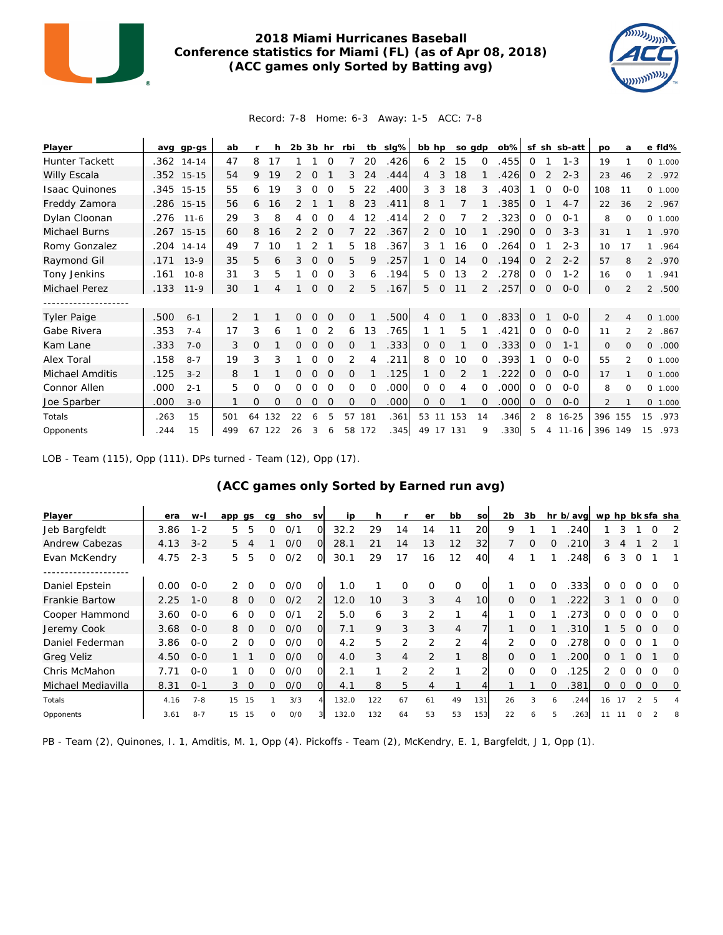

#### **2018 Miami Hurricanes Baseball Conference statistics for Miami (FL) (as of Apr 08, 2018) (ACC games only Sorted by Batting avg)**



#### Record: 7-8 Home: 6-3 Away: 1-5 ACC: 7-8

| Player                 | ava  | gp-gs        | ab  |          |     | $2b$ $3b$ hr |          |              | rbi      | tb       | slg% | bb hp          |                |           | so gdp   | $ob\%$ |             |          | sf sh sb-att | po      | a              |                | e fld%   |
|------------------------|------|--------------|-----|----------|-----|--------------|----------|--------------|----------|----------|------|----------------|----------------|-----------|----------|--------|-------------|----------|--------------|---------|----------------|----------------|----------|
| Hunter Tackett         |      | $.362$ 14-14 | 47  | 8        | 17  |              |          | 0            |          | 20       | .426 | 6              | 2              | 15        | $\Omega$ | .455   | $\Omega$    |          | $1 - 3$      | 19      |                |                | 0 1.000  |
| Willy Escala           |      | .352 15-15   | 54  | 9        | 19  |              | O        |              | 3        | 24       | .444 | $\overline{4}$ | 3              | 18        |          | .426   | 0           |          | $2 - 3$      | 23      | 46             |                | 2 .972   |
| <b>Isaac Quinones</b>  |      | .345 15-15   | 55  | 6        | 19  | 3            | 0        | $\Omega$     | 5        | 22       | .400 | 3              | 3              | 18        | 3        | .403   |             | $\Omega$ | $O - O$      | 108     | 11             |                | 0 1.000  |
| Freddy Zamora          |      | .286 15-15   | 56  | 6        | 16  |              |          |              | 8        | 23       | .411 | 8              |                |           |          | .385   | 0           |          | $4 - 7$      | 22      | 36             |                | 2 .967   |
| Dylan Cloonan          | .276 | $11 - 6$     | 29  | 3        | 8   | 4            | 0        | $\Omega$     | 4        | 12       | .414 | 2              | $\Omega$       |           | 2        | 323    | 0           | 0        | $O - 1$      | 8       | $\Omega$       |                | 0, 1,000 |
| Michael Burns          |      | .267 15-15   | 60  | 8        | 16  | 2            | 2        | $\Omega$     |          | 22       | .367 | 2              | 0              | 10        |          | .290   | 0           | 0        | $3 - 3$      | 31      |                |                | 1 .970   |
| Romy Gonzalez          |      | .204 14-14   | 49  |          | 10  |              |          |              | 5.       | 18       | .367 | 3              |                | 16        | $\Omega$ | .264   | 0           |          | $2 - 3$      | 10      | 17             | $\mathbf{1}$   | .964     |
| Raymond Gil            | .171 | $13-9$       | 35  | 5        | 6   | 3            | $\Omega$ | $\Omega$     | 5        | 9        | .257 |                | 0              | 14        | $\Omega$ | .194   | 0           |          | $2 - 2$      | 57      | 8              |                | 2 .970   |
| Tony Jenkins           | .161 | $10 - 8$     | 31  | 3        | 5   |              | O        | $\Omega$     | 3        | 6        | .194 | 5              | 0              | 13        | 2        | 278    | 0           | O        | $1 - 2$      | 16      | $\Omega$       | 1              | .941     |
| Michael Perez          | .133 | $11 - 9$     | 30  |          | 4   |              | $\circ$  | $\mathbf{O}$ | 2        | 5        | .167 | 5              | $\overline{O}$ | 11        | 2        | .257   | $\mathbf 0$ | 0        | $O-O$        | $\circ$ | 2              | $\overline{2}$ | .500     |
|                        |      |              |     |          |     |              |          |              |          |          |      |                |                |           |          |        |             |          |              |         |                |                |          |
| <b>Tyler Paige</b>     | .500 | $6 - 1$      | 2   |          |     | O            | $\Omega$ | $\Omega$     | $\Omega$ |          | .500 | 4              | $\Omega$       |           | $\Omega$ | .833   | $\Omega$    |          | $O - O$      | 2       | 4              |                | 0, 1,000 |
| Gabe Rivera            | .353 | $7 - 4$      | 17  | 3        | 6   |              | 0        | 2            | 6        | 13       | .765 |                |                | 5         |          | .421   | $\Omega$    | $\Omega$ | $0 - 0$      | 11      | $\mathfrak{p}$ | $\overline{2}$ | .867     |
| Kam Lane               | .333 | $7 - 0$      | 3   | 0        |     | 0            | $\Omega$ | $\Omega$     | 0        |          | .333 | $\circ$        | $\Omega$       |           | $\Omega$ | .333   | 0           | 0        | $1 - 1$      | 0       | $\Omega$       | 0              | .000     |
| Alex Toral             | .158 | $8 - 7$      | 19  | 3        | 3   |              | 0        | 0            | 2        | 4        | .211 | 8              | $\Omega$       | 10        | ∩        | .393   |             | $\Omega$ | $O - O$      | 55      | $\mathfrak{p}$ |                | 0 1.000  |
| <b>Michael Amditis</b> | .125 | $3 - 2$      | 8   |          |     | 0            | $\Omega$ | $\Omega$     | 0        |          | .125 |                | 0              | 2         |          | .222   | 0           | 0        | $0 - 0$      | 17      |                |                | 0, 1,000 |
| Connor Allen           | .000 | $2 - 1$      | 5   | $\Omega$ | 0   | Ω            | O        | $\Omega$     | $\Omega$ | $\Omega$ | .000 | 0              | $\Omega$       | 4         | O        | .000   | 0           | $\Omega$ | $O - O$      | 8       | $\Omega$       |                | 0 1.000  |
| Joe Sparber            | .000 | $3 - 0$      |     | $\Omega$ | O   | 0            | $\Omega$ | $\Omega$     | 0        | $\Omega$ | .000 | $\Omega$       | $\Omega$       |           | 0        | .000   | 0           | $\Omega$ | $0 - 0$      | 2       |                |                | 0 1.000  |
| Totals                 | .263 | 15           | 501 | 64       | 132 | 22           | 6        | 5            | 57       | 181      | .361 | 53 11          |                | 153       | 14       | .346   | 2           | 8        | $16 - 25$    | 396     | 155            | 15             | .973     |
| Opponents              | 244  | 15           | 499 | 67       | 122 | 26           | 3        | 6            |          | 58 172   | .345 |                |                | 49 17 131 | 9        | .330   | 5           | 4        | $11 - 16$    | 396 149 |                | 15             | .973     |

LOB - Team (115), Opp (111). DPs turned - Team (12), Opp (17).

#### **(ACC games only Sorted by Earned run avg)**

| Player                | era  | w-l     | app gs |          | cq       | sho | <b>SV</b>      | ip    | h.  |                | er             | bb                | <b>SO</b> | 2b       | 3b       |          | hr b/avg wp hp bk sfa sha |    |          |          |             |          |
|-----------------------|------|---------|--------|----------|----------|-----|----------------|-------|-----|----------------|----------------|-------------------|-----------|----------|----------|----------|---------------------------|----|----------|----------|-------------|----------|
| Jeb Bargfeldt         | 3.86 | $1 - 2$ | 5.     | 5        | 0        | 0/1 | 0              | 32.2  | 29  | 14             | 14             | 11                | 20        | 9        |          |          | 240                       |    | 3        |          | $\Omega$    | 2        |
| Andrew Cabezas        | 4.13 | $3 - 2$ | 5      |          |          | O/O | $\Omega$       | 28.1  | 21  | 14             | 13             | 12                | 32        |          | $\Omega$ |          | 210                       | 3  |          |          |             |          |
| Evan McKendry         | 4.75 | $2 - 3$ | 5.     | 5        | 0        | 0/2 | O              | 30.1  | 29  | 17             | 16             | $12 \overline{ }$ | 40        | 4        |          |          | 248                       | 6  | 3        | $\Omega$ |             |          |
| Daniel Epstein        | 0.00 | $O - O$ |        | $\Omega$ | 0        | 0/0 | Ω              | 1.0   |     | $\Omega$       | $\Omega$       | $\Omega$          |           |          | $\Omega$ | $\Omega$ | .333                      | 0  | 0        | $\Omega$ | $\Omega$    | $\Omega$ |
| <b>Frankie Bartow</b> | 2.25 | $1 - 0$ | 8      | $\Omega$ | 0        | 0/2 | 2              | 12.0  | 10  | 3              | 3              | 4                 | 10        | $\Omega$ | $\Omega$ |          | .222                      | 3  |          | $\Omega$ | $\Omega$    | $\Omega$ |
| Cooper Hammond        | 3.60 | $O-O$   | 6      | $\Omega$ | 0        | O/1 | $\overline{2}$ | 5.0   | 6   | 3              | 2              |                   |           |          | $\Omega$ |          | 273                       | 0  | 0        | $\Omega$ | $\Omega$    | $\Omega$ |
| Jeremy Cook           | 3.68 | $O - O$ | 8      | $\Omega$ | ∩        | O/O | O              | 7.1   | 9   | 3              | 3              | 4                 |           |          | $\Omega$ |          | .310                      |    | 5        | $\Omega$ | $\Omega$    | $\Omega$ |
| Daniel Federman       | 3.86 | $O-O$   |        | - 0      | 0        | O/O | Ω              | 4.2   | 5   | 2              | 2              | 2                 |           |          | $\Omega$ | $\Omega$ | .278                      | 0  | Ω        |          |             | O        |
| Greg Veliz            | 4.50 | $O - O$ |        |          | ∩        | O/O | $\Omega$       | 4.0   | 3   | $\overline{4}$ | $\overline{2}$ |                   | 8         | $\Omega$ | $\Omega$ |          | 200                       | 0  |          | $\Omega$ |             | O        |
| Chris McMahon         | 7.71 | $0 - 0$ |        |          | ∩        | O/O | Ω              | 2.1   |     | $\overline{2}$ | 2              |                   |           | $\Omega$ | $\Omega$ | $\Omega$ | 125                       |    | O        | $\Omega$ | $\Omega$    | $\Omega$ |
| Michael Mediavilla    | 8.31 | $O - 1$ | 3      | $\Omega$ | ∩        | O/O | O              | 4.1   | 8   | 5              | 4              |                   |           |          |          |          | 381                       | 0  | $\Omega$ | 0        | $\mathbf 0$ | 0        |
| Totals                | 4.16 | $7 - 8$ | 15     | 15       |          | 3/3 |                | 132.0 | 122 | 67             | 61             | 49                | 131       | 26       | 3        | 6        | .244                      | 16 | 17       |          | 5           |          |
| Opponents             | 3.61 | $8 - 7$ | 15     | 15       | $\Omega$ | O/O | 3              | 132.0 | 132 | 64             | 53             | 53                | 153       | 22       | 6        | 5        | 263                       |    |          |          |             | 8        |

PB - Team (2), Quinones, I. 1, Amditis, M. 1, Opp (4). Pickoffs - Team (2), McKendry, E. 1, Bargfeldt, J 1, Opp (1).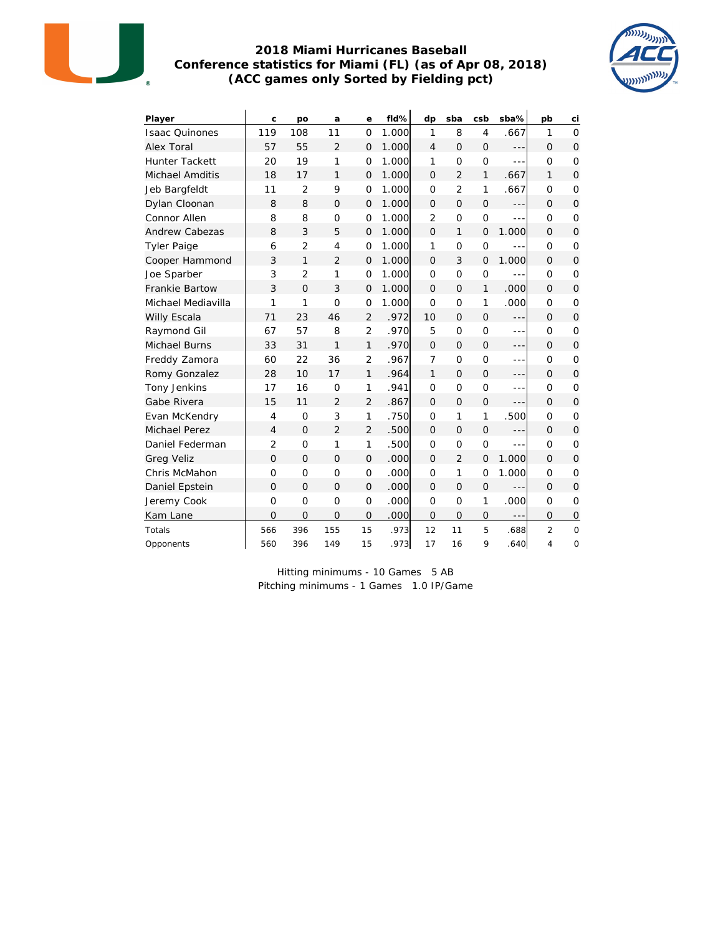

#### **2018 Miami Hurricanes Baseball Conference statistics for Miami (FL) (as of Apr 08, 2018) (ACC games only Sorted by Fielding pct)**



| Player                 | C              | po             | a              | e              | fld%  | dp             | sba            | csb            | sba%    | pb             | ci             |
|------------------------|----------------|----------------|----------------|----------------|-------|----------------|----------------|----------------|---------|----------------|----------------|
| <b>Isaac Quinones</b>  | 119            | 108            | 11             | $\Omega$       | 1.000 | 1              | 8              | $\overline{4}$ | .667    | 1              | $\Omega$       |
| Alex Toral             | 57             | 55             | $\overline{2}$ | $\Omega$       | 1.000 | $\overline{4}$ | $\Omega$       | $\overline{O}$ | ---     | $\Omega$       | $\Omega$       |
| <b>Hunter Tackett</b>  | 20             | 19             | 1              | $\Omega$       | 1.000 | 1              | $\Omega$       | $\overline{O}$ | $- - -$ | $\Omega$       | $\Omega$       |
| <b>Michael Amditis</b> | 18             | 17             | $\mathbf{1}$   | $\overline{O}$ | 1.000 | $\Omega$       | $\overline{2}$ | $\mathbf{1}$   | .667    | 1              | $\Omega$       |
| Jeb Bargfeldt          | 11             | $\overline{2}$ | 9              | 0              | 1.000 | $\Omega$       | $\overline{2}$ | 1              | .667    | $\Omega$       | $\circ$        |
| Dylan Cloonan          | 8              | 8              | $\Omega$       | $\overline{O}$ | 1.000 | $\Omega$       | $\Omega$       | $\overline{O}$ | $---$   | $\Omega$       | $\Omega$       |
| Connor Allen           | 8              | 8              | $\circ$        | 0              | 1.000 | $\overline{2}$ | $\Omega$       | $\overline{O}$ | $- - -$ | $\Omega$       | $\circ$        |
| <b>Andrew Cabezas</b>  | 8              | 3              | 5              | $\overline{O}$ | 1.000 | $\Omega$       | $\mathbf{1}$   | $\overline{O}$ | 1.000   | $\Omega$       | $\Omega$       |
| <b>Tyler Paige</b>     | 6              | $\overline{2}$ | $\overline{4}$ | $\overline{O}$ | 1.000 | 1              | $\overline{O}$ | 0              | $- - -$ | $\circ$        | $\mathbf 0$    |
| Cooper Hammond         | 3              | 1              | $\overline{2}$ | $\overline{O}$ | 1.000 | $\Omega$       | 3              | $\overline{O}$ | 1.000   | $\Omega$       | $\overline{O}$ |
| Joe Sparber            | 3              | $\overline{2}$ | 1              | $\overline{O}$ | 1.000 | $\Omega$       | $\Omega$       | $\overline{O}$ | ---     | $\Omega$       | $\mathbf 0$    |
| Frankie Bartow         | 3              | $\Omega$       | 3              | $\overline{O}$ | 1.000 | $\Omega$       | $\Omega$       | $\mathbf{1}$   | .000    | $\Omega$       | $\Omega$       |
| Michael Mediavilla     | 1              | 1              | $\Omega$       | $\overline{O}$ | 1.000 | $\Omega$       | $\Omega$       | 1              | .000    | $\circ$        | $\circ$        |
| Willy Escala           | 71             | 23             | 46             | $\overline{2}$ | .972  | 10             | $\Omega$       | $\overline{O}$ | $- - -$ | $\Omega$       | $\overline{O}$ |
| Raymond Gil            | 67             | 57             | 8              | $\overline{2}$ | .970  | 5              | $\overline{O}$ | $\overline{O}$ | $- - -$ | $\Omega$       | $\circ$        |
| Michael Burns          | 33             | 31             | 1              | 1              | .970  | $\Omega$       | $\Omega$       | $\overline{O}$ | ---     | $\Omega$       | $\Omega$       |
| Freddy Zamora          | 60             | 22             | 36             | $\overline{2}$ | .967  | $\overline{7}$ | $\overline{O}$ | $\mathbf{O}$   | $- - -$ | $\circ$        | $\circ$        |
| Romy Gonzalez          | 28             | 10             | 17             | $\mathbf{1}$   | .964  | 1              | $\Omega$       | $\mathbf{O}$   | $- - -$ | $\Omega$       | $\Omega$       |
| Tony Jenkins           | 17             | 16             | $\overline{O}$ | 1              | .941  | $\Omega$       | $\overline{O}$ | $\overline{O}$ | $- - -$ | $\Omega$       | $\circ$        |
| Gabe Rivera            | 15             | 11             | $\overline{2}$ | $\overline{2}$ | .867  | $\Omega$       | $\overline{O}$ | $\mathbf{O}$   | $- - -$ | $\Omega$       | $\Omega$       |
| Evan McKendry          | 4              | $\overline{O}$ | 3              | 1              | .750  | Ω              | 1              | 1              | .500    | $\circ$        | $\circ$        |
| <b>Michael Perez</b>   | $\overline{4}$ | $\Omega$       | $\overline{2}$ | $\overline{2}$ | .500  | $\Omega$       | $\Omega$       | $\overline{O}$ | $---$   | $\Omega$       | $\Omega$       |
| Daniel Federman        | $\overline{2}$ | $\overline{O}$ | 1              | 1              | .500  | Ω              | $\Omega$       | O              | $- - -$ | $\Omega$       | $\circ$        |
| <b>Greg Veliz</b>      | $\overline{O}$ | $\Omega$       | $\Omega$       | 0              | .000  | $\Omega$       | $\overline{2}$ | $\mathbf 0$    | 1.000   | $\Omega$       | $\Omega$       |
| Chris McMahon          | 0              | $\circ$        | 0              | 0              | .000  | O              | 1              | 0              | 1.000   | $\circ$        | $\circ$        |
| Daniel Epstein         | $\overline{O}$ | $\Omega$       | $\Omega$       | 0              | .000  | $\Omega$       | $\Omega$       | $\mathsf{O}$   |         | $\Omega$       | $\Omega$       |
| Jeremy Cook            | $\overline{O}$ | $\overline{0}$ | $\overline{O}$ | $\overline{O}$ | .000  | $\Omega$       | $\overline{O}$ | 1              | .000    | $\circ$        | $\circ$        |
| Kam Lane               | $\overline{O}$ | $\circ$        | $\overline{O}$ | 0              | .000  | 0              | $\overline{0}$ | $\Omega$       |         | $\Omega$       | $\mathbf 0$    |
| Totals                 | 566            | 396            | 155            | 15             | .973  | 12             | 11             | 5              | .688    | $\overline{2}$ | $\circ$        |
| Opponents              | 560            | 396            | 149            | 15             | .973  | 17             | 16             | 9              | .640    | 4              | 0              |

Hitting minimums - 10 Games 5 AB Pitching minimums - 1 Games 1.0 IP/Game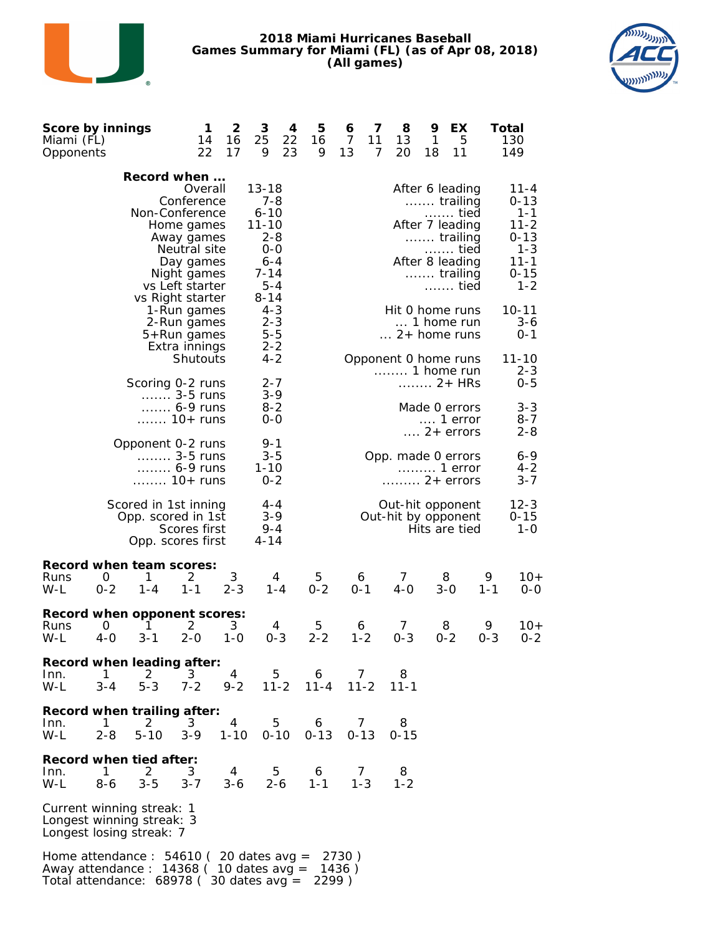





| Score by innings<br>Miami (FL)<br>Opponents                                                                                        |               |                                                                 | 1<br>14<br>22                                                                                                    | 2<br>16<br>17              | 3<br>25<br>9                                                                                      | 4<br>22<br>23 | 5<br>16<br>9  | 6<br>$\overline{7}$<br>13 | 7<br>11<br>7 | 8<br>13<br>20                                          | 9<br>1<br>18 | EХ<br>5<br>11                                                                                                     |              | Total<br>130<br>149                                                                                   |
|------------------------------------------------------------------------------------------------------------------------------------|---------------|-----------------------------------------------------------------|------------------------------------------------------------------------------------------------------------------|----------------------------|---------------------------------------------------------------------------------------------------|---------------|---------------|---------------------------|--------------|--------------------------------------------------------|--------------|-------------------------------------------------------------------------------------------------------------------|--------------|-------------------------------------------------------------------------------------------------------|
|                                                                                                                                    |               | Record when<br>Non-Conference                                   | Overall<br>Conference<br>Home games<br>Away games<br>Neutral site<br>Day games<br>Night games<br>vs Left starter |                            | $13 - 18$<br>$7 - 8$<br>$6 - 10$<br>$11 - 10$<br>$2 - 8$<br>0-0<br>$6 - 4$<br>$7 - 14$<br>$5 - 4$ |               |               |                           |              |                                                        |              | After 6 leading<br>trailing<br>tied<br>After 7 leading<br>trailing<br>tied<br>After 8 leading<br>trailing<br>tied |              | $11 - 4$<br>$0 - 13$<br>$1 - 1$<br>$11 - 2$<br>$0 - 13$<br>$1 - 3$<br>$11 - 1$<br>$0 - 15$<br>$1 - 2$ |
|                                                                                                                                    |               | vs Right starter                                                | 1-Run games<br>2-Run games<br>5+Run games<br>Extra innings                                                       |                            | $8 - 14$<br>$4 - 3$<br>$2 - 3$<br>$5 - 5$<br>$2 - 2$                                              |               |               |                           |              | Hit 0 home runs<br>$\ldots$ 2+ home runs               |              | 1 home run                                                                                                        |              | $10 - 11$<br>$3 - 6$<br>$0 - 1$                                                                       |
|                                                                                                                                    |               | Scoring 0-2 runs                                                | Shutouts<br>$\ldots$ 3-5 runs                                                                                    |                            | $4 - 2$<br>$2 - 7$<br>$3-9$                                                                       |               |               |                           |              | Opponent 0 home runs<br>1 home run                     |              | 2+ HRs                                                                                                            |              | $11 - 10$<br>$2 - 3$<br>$0 - 5$                                                                       |
|                                                                                                                                    |               |                                                                 | 6-9 runs<br>$\ldots$ 10+ runs                                                                                    |                            | $8 - 2$<br>0-0                                                                                    |               |               |                           |              |                                                        |              | Made 0 errors<br>1 error<br>$\ldots$ 2+ errors                                                                    |              | $3 - 3$<br>$8 - 7$<br>$2 - 8$                                                                         |
|                                                                                                                                    |               | Opponent 0-2 runs<br>10+ runs                                   | 3-5 runs<br>6-9 runs                                                                                             |                            | $9 - 1$<br>$3 - 5$<br>$1 - 10$<br>$0 - 2$                                                         |               |               |                           |              | Opp. made 0 errors<br>$\ldots \ldots \ldots 2+$ errors |              | 1 error                                                                                                           |              | 6-9<br>$4 - 2$<br>3-7                                                                                 |
|                                                                                                                                    |               | Scored in 1st inning<br>Opp. scored in 1st<br>Opp. scores first | Scores first                                                                                                     |                            | $4 - 4$<br>$3 - 9$<br>$9 - 4$<br>$4 - 14$                                                         |               |               |                           |              | Out-hit opponent<br>Out-hit by opponent                |              | Hits are tied                                                                                                     |              | $12 - 3$<br>$0 - 15$<br>$1 - 0$                                                                       |
| Record when team scores:<br>Runs<br>W-L                                                                                            | 0<br>$0 - 2$  | 1<br>$1 - 4$                                                    | 2<br>$1 - 1$                                                                                                     | 3<br>$2 - 3$               |                                                                                                   | 4<br>$1 - 4$  | 5<br>$0 - 2$  | 6<br>$0 - 1$              |              | 7<br>$4-0$                                             |              | 8<br>$3 - 0$                                                                                                      | 9<br>$1 - 1$ | $10+$<br>$0 - 0$                                                                                      |
| Record when opponent scores:<br>Runs<br>W-L                                                                                        | O<br>$4-0$    | 1<br>$3 - 1$                                                    | 2<br>$2 - 0$                                                                                                     | 3<br>$1 - 0$               |                                                                                                   | 4<br>$0 - 3$  | 5<br>$2 - 2$  | 6<br>$1 - 2$              |              | 7<br>$0 - 3$                                           |              | 8<br>$0 - 2$                                                                                                      | 9<br>$0 - 3$ | $10+$<br>$0 - 2$                                                                                      |
| Record when leading after:<br>Inn.<br>W-L                                                                                          | 1<br>$3 - 4$  | 2<br>$5 - 3$                                                    | 3<br>$7 - 2$                                                                                                     | 4<br>$9 - 2$               |                                                                                                   | 5<br>$11 - 2$ | 6<br>$11 - 4$ | 7                         | $11 - 2$     | 8<br>$11 - 1$                                          |              |                                                                                                                   |              |                                                                                                       |
| Record when trailing after:<br>Inn.<br>W-L                                                                                         | -1<br>$2 - 8$ | 2<br>$5 - 10$                                                   | 3<br>$3 - 9$                                                                                                     | $\overline{4}$<br>$1 - 10$ |                                                                                                   | 5<br>$0 - 10$ | 6<br>$0 - 13$ | 7<br>$0 - 13$             |              | 8<br>0-15                                              |              |                                                                                                                   |              |                                                                                                       |
| Record when tied after:<br>Inn.<br>W-L                                                                                             | 1<br>$8 - 6$  | 2<br>$3 - 5$                                                    | 3<br>$3 - 7$                                                                                                     | 4<br>$3 - 6$               |                                                                                                   | 5<br>$2 - 6$  | 6<br>$1 - 1$  |                           | 7<br>$1 - 3$ | 8<br>$1 - 2$                                           |              |                                                                                                                   |              |                                                                                                       |
| Current winning streak: 1<br>Longest winning streak: 3<br>Longest losing streak: 7                                                 |               |                                                                 |                                                                                                                  |                            |                                                                                                   |               |               |                           |              |                                                        |              |                                                                                                                   |              |                                                                                                       |
| Home attendance : $54610$ (20 dates avg =<br>Away attendance : $14368$ ( 10 dates avg =<br>Total attendance: 68978 (30 dates avg = |               |                                                                 |                                                                                                                  |                            |                                                                                                   |               | 2299)         | 2730)<br>1436)            |              |                                                        |              |                                                                                                                   |              |                                                                                                       |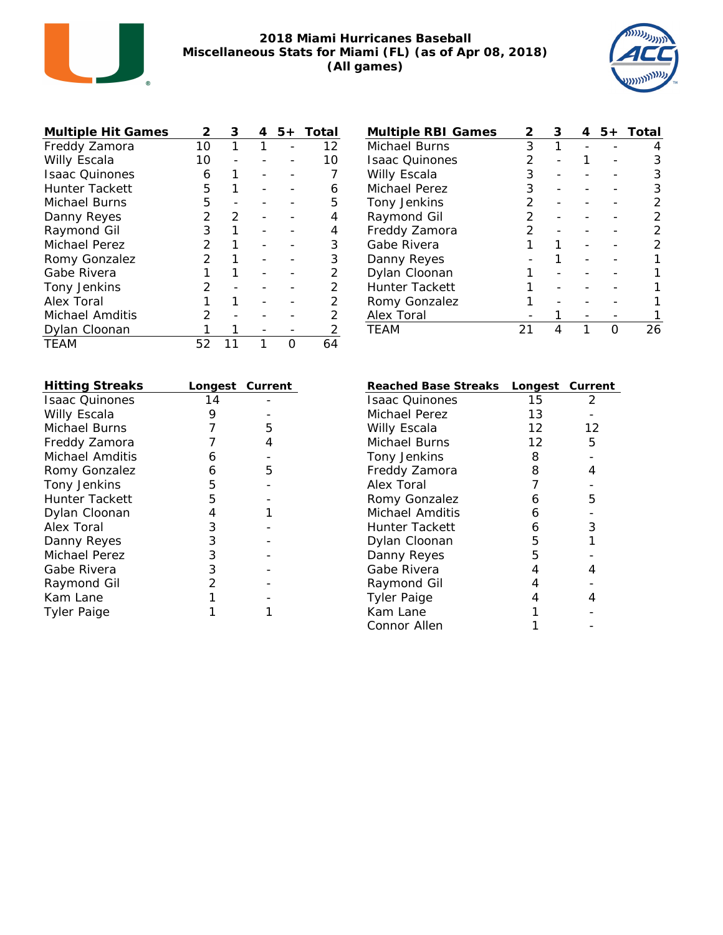

#### **2018 Miami Hurricanes Baseball Miscellaneous Stats for Miami (FL) (as of Apr 08, 2018) (All games)**



| <b>Multiple Hit Games</b> | 2             | З | 5+ | Total |
|---------------------------|---------------|---|----|-------|
| Freddy Zamora             | 10            | 1 |    | 12    |
| Willy Escala              | 10            |   |    | 10    |
| <b>Isaac Ouinones</b>     | 6             |   |    |       |
| Hunter Tackett            | 5             |   |    | 6     |
| Michael Burns             | 5             |   |    | 5     |
| Danny Reyes               | 2             | 2 |    |       |
| Raymond Gil               | 3             |   |    | 4     |
| Michael Perez             | $\mathcal{P}$ |   |    | 3     |
| Romy Gonzalez             | 2             |   |    | 3     |
| Gabe Rivera               |               |   |    | 2     |
| Tony Jenkins              | ン             |   |    | 2     |
| Alex Toral                |               |   |    | 2     |
| Michael Amditis           | 2             |   |    | 2     |
| Dylan Cloonan             |               |   |    |       |
| TEAM                      | 52            |   |    | 64    |

| <b>Hitting Streaks</b> | Longest Current |   |
|------------------------|-----------------|---|
| <b>Isaac Ouinones</b>  | 14              |   |
| Willy Escala           | 9               |   |
| Michael Burns          | 7               | 5 |
| Freddy Zamora          |                 | 4 |
| Michael Amditis        | 6               |   |
| Romy Gonzalez          | 6               | 5 |
| Tony Jenkins           | 5               |   |
| Hunter Tackett         | 5               |   |
| Dylan Cloonan          | 4               |   |
| Alex Toral             | 3               |   |
| Danny Reyes            | 3               |   |
| Michael Perez          | 3               |   |
| Gabe Rivera            | 3               |   |
| Raymond Gil            | 2               |   |
| Kam Lane               |                 |   |
| Tyler Paige            |                 |   |

| Multiple RBI Games    | ン             | 3 | 5+ | Total |
|-----------------------|---------------|---|----|-------|
| Michael Burns         | 3             |   |    |       |
| <b>Isaac Ouinones</b> | 2             |   |    |       |
| Willy Escala          | 3             |   |    |       |
| Michael Perez         | 3             |   |    | 3     |
| Tony Jenkins          | 2             |   |    |       |
| Raymond Gil           | $\mathcal{P}$ |   |    |       |
| Freddy Zamora         | $\mathcal{P}$ |   |    |       |
| Gabe Rivera           |               |   |    |       |
| Danny Reyes           |               |   |    |       |
| Dylan Cloonan         |               |   |    |       |
| <b>Hunter Tackett</b> |               |   |    |       |
| Romy Gonzalez         |               |   |    |       |
| Alex Toral            |               |   |    |       |
| TFAM                  |               |   |    |       |

| Reached Base Streaks  | Longest Current |    |
|-----------------------|-----------------|----|
| <b>Isaac Quinones</b> | 15              | 2  |
| Michael Perez         | 13              |    |
| Willy Escala          | 12              | 12 |
| Michael Burns         | 12              | 5  |
| Tony Jenkins          | 8               |    |
| Freddy Zamora         | 8               | 4  |
| Alex Toral            | 7               |    |
| Romy Gonzalez         | 6               | 5  |
| Michael Amditis       | 6               |    |
| Hunter Tackett        | 6               | 3  |
| Dylan Cloonan         | 5               |    |
| Danny Reyes           | 5               |    |
| Gabe Rivera           | 4               | 4  |
| Raymond Gil           | 4               |    |
| <b>Tyler Paige</b>    | 4               |    |
| Kam Lane              |                 |    |
| Connor Allen          |                 |    |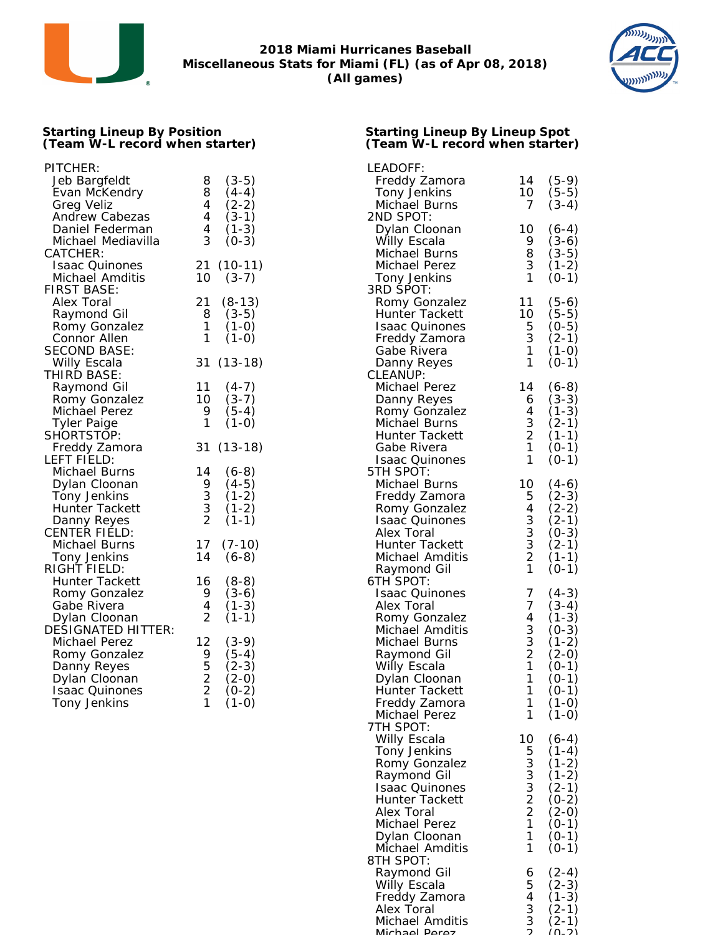



#### **Starting Lineup By Position (Team W-L record when starter)**

| PITCHER:<br>Jeb Bargfeldt                  | $(3-5)$<br>8                              | LEADOFF:<br>Freddy Zamora               |
|--------------------------------------------|-------------------------------------------|-----------------------------------------|
| Evan McKendry<br>Greg Veliz                | 8<br>$(4-4)$<br>4<br>$(2-2)$              | Tony Jenkins<br>Michael Burns           |
| Andrew Cabezas                             | 4<br>$(3-1)$                              | 2ND SPOT:                               |
| Daniel Federman                            | 4<br>$(1-3)$                              | Dylan Cloonan                           |
| Michael Mediavilla                         | 3<br>$(0-3)$                              | Willy Escala                            |
| CATCHER:<br><b>Isaac Quinones</b>          | 21 (10-11)                                | Michael Burns<br>Michael Perez          |
| Michael Amditis                            | 10<br>$(3-7)$                             | Tony Jenkins                            |
| FIRST BASE:                                |                                           | 3RD SPOT:                               |
| Alex Toral                                 | 21<br>$(8-13)$                            | Romy Gonzalez                           |
| Raymond Gil<br>Romy Gonzalez               | 8<br>$(3-5)$<br>1<br>$(1-0)$              | Hunter Tackett<br><b>Isaac Quinones</b> |
| Connor Allen                               | 1<br>$(1-0)$                              | Freddy Zamora                           |
| SECOND BASE:                               |                                           | Gabe Rivera                             |
| Willy Escala                               | 31 (13-18)                                | Danny Reyes                             |
| THIRD BASE:<br>Raymond Gil                 | 11<br>$(4-7)$                             | CLEANUP:<br>Michael Perez               |
| Romy Gonzalez                              | 10<br>$(3-7)$                             | Danny Reyes                             |
| Michael Perez                              | 9<br>$(5-4)$                              | Romy Gonzalez                           |
| <b>Tyler Paige</b>                         | 1<br>$(1-0)$                              | Michael Burns                           |
| SHORTSTOP:<br>Freddy Zamora                | 31 (13-18)                                | Hunter Tackett<br>Gabe Rivera           |
| LEFT FIELD:                                |                                           | <b>Isaac Quinones</b>                   |
| Michael Burns                              | 14<br>$(6-8)$                             | 5TH SPOT:                               |
| Dylan Cloonan                              | 9<br>$(4-5)$                              | Michael Burns                           |
| Tony Jenkins<br>Hunter Tackett             | $\frac{3}{3}$<br>$(1-2)$<br>$(1-2)$       | Freddy Zamora<br>Romy Gonzalez          |
| Danny Reyes                                | $\overline{2}$<br>$(1-1)$                 | <b>Isaac Quinones</b>                   |
| <b>CENTER FIELD:</b>                       |                                           | Alex Toral                              |
| Michael Burns                              | 17<br>$(7-10)$                            | Hunter Tackett                          |
| Tony Jenkins<br>RIGHT FIELD:               | 14<br>$(6-8)$                             | Michael Amditis                         |
| Hunter Tackett                             | $(8-8)$<br>16                             | Raymond Gil<br>6TH SPOT:                |
| Romy Gonzalez                              | 9<br>$(3-6)$                              | <b>Isaac Quinones</b>                   |
| Gabe Rivera                                | 4<br>$(1-3)$                              | Alex Toral                              |
| Dylan Cloonan<br><b>DESIGNATED HITTER:</b> | 2<br>$(1-1)$                              | Romy Gonzalez                           |
| Michael Perez                              | 12<br>$(3-9)$                             | Michael Amditis<br>Michael Burns        |
| Romy Gonzalez                              | 9<br>(5-4)                                | Raymond Gil                             |
| Danny Reyes                                | 5<br>$(2-3)$                              | Willy Escala                            |
| Dylan Cloonan<br><b>Isaac Quinones</b>     | $\overline{2}$<br>$(2-0)$<br>2<br>$(0-2)$ | Dylan Cloonan<br>Hunter Tackett         |
| Tony Jenkins                               | 1<br>$(1-0)$                              | Freddy Zamora                           |
|                                            |                                           | Michael Perez                           |
|                                            |                                           | 7TH SPOT:                               |
|                                            |                                           | Willy Escala<br>Tony Jenkins            |
|                                            |                                           | Romy Gonzalez                           |
|                                            |                                           | Raymond Gil                             |
|                                            |                                           | <b>Isaac Quinones</b>                   |
|                                            |                                           | <b>Hunter Tackett</b><br>Alex Toral     |
|                                            |                                           | Michael Perez                           |
|                                            |                                           | Dylan Cloonan                           |
|                                            |                                           | Michael Amditis                         |
|                                            |                                           | 8TH SPOT:                               |

| LEADOFF:                         |                 |                               |
|----------------------------------|-----------------|-------------------------------|
| Freddy Zamora                    | 14              | $(5-9)$                       |
| <b>Tony Jenkins</b>              | 10              | $(5-5)$                       |
| Michael Burns<br>2ND SPOT:       | 7               | $(3-4)$                       |
| Dylan Cloonan                    | 10              | $(6-4)$                       |
| Willy Escala                     | 9               |                               |
| Michael Burns                    | 8               | $(3-6)$<br>$(3-5)$<br>$(1-2)$ |
| Michael Perez                    | 3               |                               |
| Tony Jenkins                     | 1               | $(0-1)$                       |
| 3RD SPOT:                        |                 |                               |
| Romy Gonzalez                    | 11              | $(5-6)$                       |
| Hunter Tackett                   | 10 <sup>°</sup> | $(5-5)$                       |
| <b>Isaac Quinones</b>            | 5<br>3<br>1     | $(0-5)$                       |
| Freddy Zamora<br>Gabe Rivera     |                 | (2-1)<br>(1-0)                |
| Danny Reyes                      | 1               | $(0-1)$                       |
| CLEANUP:                         |                 |                               |
| Michael Perez                    | 14              | (6-8)                         |
| Danny Reyes                      |                 | $(3-3)$                       |
| Romy Gonzalez                    | 6<br>4          | $(1-3)$                       |
| Michael Burns                    | $\frac{3}{2}$   | $(2-1)$                       |
| Hunter Tackett                   |                 | $(1 - 1)$                     |
| Gabe Rivera                      | $\mathbf{1}$    | $(0-1)$                       |
| <b>Isaac Quinones</b>            | 1               | $(0-1)$                       |
| 5TH SPOT:                        |                 |                               |
| Michael Burns<br>Freddy Zamora   | 10              | $(4-6)$<br>$(2-3)$            |
|                                  | 5433321         |                               |
| Romy Gonzalez<br>Isaac Quinones  |                 | (2-2)<br>(2-1)                |
| Alex Toral                       |                 | $(0-3)$                       |
| Hunter Tackett                   |                 |                               |
| Michael Amditis                  |                 | (2-1)<br>(1-1)                |
| Raymond Gil                      |                 | $(0-1)$                       |
| 6TH SPOT:                        |                 |                               |
| <b>Isaac Quinones</b>            | $\frac{7}{7}$   | $(4-3)$                       |
| Alex Toral                       |                 | $(3-4)$                       |
| Romy Gonzalez<br>Michael Amditis |                 | $(1-3)$                       |
| Michael Burns                    |                 | $(0-3)$<br>$(1-2)$            |
| Raymond Gil                      |                 | $(2-0)$                       |
| Willy Escala                     | 4 3 3 2 1       | $(0-1)$                       |
| Dylan Cloonan                    | 1               | $(0-1)$                       |
| Hunter Tackett                   | 1               | $(0-1)$                       |
| Freddy Zamora                    | 1               | $(1-0)$                       |
| Michael Perez                    | 1               | $(1-0)$                       |
| 7TH SPOT:                        |                 |                               |
| Willy Escala                     | 10              | $(6-4)$                       |
| Tony Jenkins<br>Romy Gonzalez    | 53332211        | $(1-4)$                       |
| Raymond Gil                      |                 | (1-2)<br>(1-2)                |
| <b>Isaac Quinones</b>            |                 | $(2-1)$                       |
| Hunter Tackett                   |                 | $(0-2)$                       |
| Alex Toral                       |                 | $(2-0)$                       |
| Michael Perez                    |                 | $(0-1)$                       |
| Dylan Cloonan                    |                 | $(0-1)$                       |
| Michael Amditis                  | 1               | $(0-1)$                       |
| 8TH SPOT:                        |                 |                               |
| Raymond Gil                      | 654332          | $(2-4)$                       |
| Willy Escala<br>Freddy Zamora    |                 | (2-3)                         |
| Alex Toral                       |                 | $(1-3)$<br>$(2-1)$<br>$(2-1)$ |
| Michael Amditis                  |                 |                               |
| Michael Doroz                    |                 | $\sim$<br>っ                   |

**Starting Lineup By Lineup Spot (Team W-L record when starter)**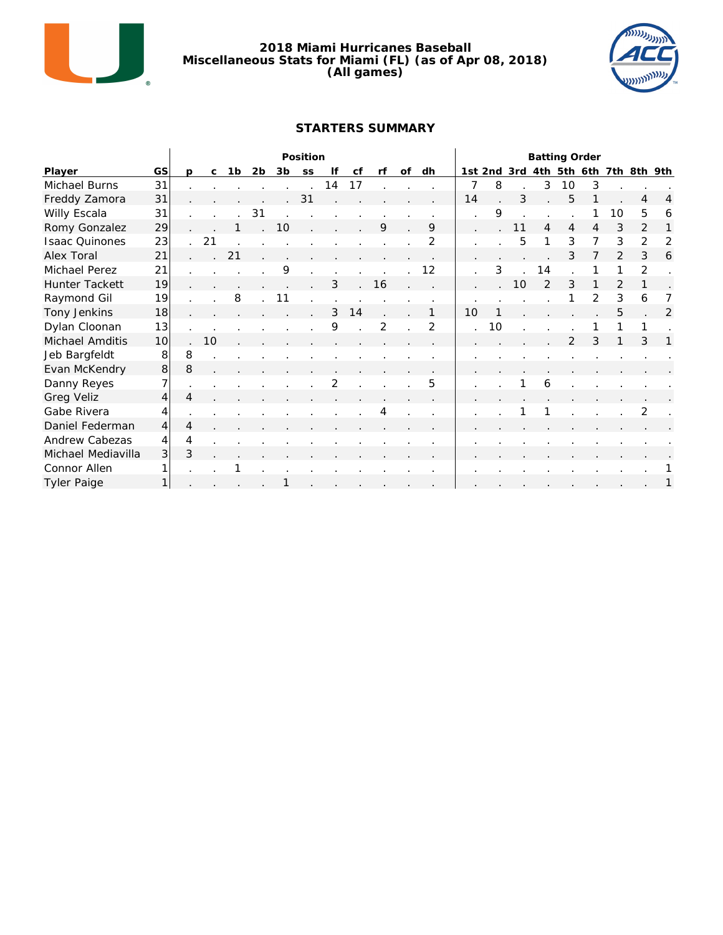

#### **2018 Miami Hurricanes Baseball Miscellaneous Stats for Miami (FL) (as of Apr 08, 2018) (All games)**



#### **STARTERS SUMMARY**

|                       |                |                |              |    |                |    | Position |    |    | <b>Batting Order</b> |    |    |    |    |             |     |                |                |               |         |   |
|-----------------------|----------------|----------------|--------------|----|----------------|----|----------|----|----|----------------------|----|----|----|----|-------------|-----|----------------|----------------|---------------|---------|---|
| Player                | GS             | $\mathsf{D}$   | $\mathsf{C}$ | Ιb | 2 <sub>b</sub> | 3b | SS       | lf | cf | rf                   | of | dh |    |    | 1st 2nd 3rd | 4th | 5th            | 6th            | 7th           | 8th 9th |   |
| Michael Burns         | 31             |                |              |    |                |    |          | 14 | 17 |                      |    |    | 7  | 8  |             | 3   | 10             | 3              |               |         |   |
| Freddy Zamora         | 31             |                |              |    |                |    | 31       |    |    |                      |    |    | 14 |    | 3           |     | 5              |                |               | 4       | 4 |
| Willy Escala          | 31             |                |              |    | 31             |    |          |    |    |                      |    |    |    | 9  |             |     |                |                | 10            | 5       | 6 |
| Romy Gonzalez         | 29             |                |              |    |                | 10 |          |    |    | 9                    |    | 9  |    |    |             | 4   | 4              | 4              | 3             |         |   |
| <b>Isaac Quinones</b> | 23             |                | 21           |    |                |    |          |    |    |                      |    | 2  |    |    | 5           |     | 3              | 7              | 3             | 2       | 2 |
| Alex Toral            | 21             |                |              | 21 |                |    |          |    |    |                      |    |    |    |    |             |     | 3              |                | $\mathcal{P}$ | 3       | 6 |
| Michael Perez         | 21             |                |              |    |                | 9  |          |    |    |                      |    | 12 |    | 3  |             | 14  |                |                | 1             | 2       |   |
| Hunter Tackett        | 19             |                |              |    |                |    |          | 3  |    | 16                   |    |    |    |    | 10          | 2   | 3              |                | 2             |         |   |
| Raymond Gil           | 19             |                |              | 8  |                | 11 |          |    |    |                      |    |    |    |    |             |     |                | $\overline{2}$ | 3             | 6       |   |
| Tony Jenkins          | 18             |                |              |    |                |    |          | 3  | 14 |                      |    |    | 10 |    |             |     |                |                | 5             |         | 2 |
| Dylan Cloonan         | 13             |                |              |    |                |    |          | 9  |    | 2                    |    | 2  |    | 10 |             |     |                |                |               |         |   |
| Michael Amditis       | 10             |                | 10           |    |                |    |          |    |    |                      |    |    |    |    |             |     | $\overline{2}$ | 3              |               | 3       |   |
| Jeb Bargfeldt         | 8              | 8              |              |    |                |    |          |    |    |                      |    |    |    |    |             |     |                |                |               |         |   |
| Evan McKendry         | 8              | 8              |              |    |                |    |          |    |    |                      |    |    |    |    |             |     |                |                |               |         |   |
| Danny Reyes           | 7              |                |              |    |                |    |          | 2  |    |                      |    | 5  |    |    |             | 6   |                |                |               |         |   |
| <b>Greg Veliz</b>     | 4              | 4              |              |    |                |    |          |    |    |                      |    |    |    |    |             |     |                |                |               |         |   |
| Gabe Rivera           | 4              | $\cdot$        |              |    |                |    |          |    |    | 4                    |    |    |    |    |             |     |                |                |               | 2       |   |
| Daniel Federman       | $\overline{4}$ | $\overline{4}$ |              |    |                |    |          |    |    |                      |    |    |    |    |             |     |                |                |               |         |   |
| Andrew Cabezas        | 4              | 4              |              |    |                |    |          |    |    |                      |    |    |    |    |             |     |                |                |               |         |   |
| Michael Mediavilla    | 3              | 3              |              |    |                |    |          |    |    |                      |    |    |    |    |             |     |                |                |               |         |   |
| Connor Allen          |                |                |              |    |                |    |          |    |    |                      |    |    |    |    |             |     |                |                |               |         |   |
| <b>Tyler Paige</b>    | 1              |                |              |    |                |    |          |    |    |                      |    |    |    |    |             |     | $\sim$         |                |               |         |   |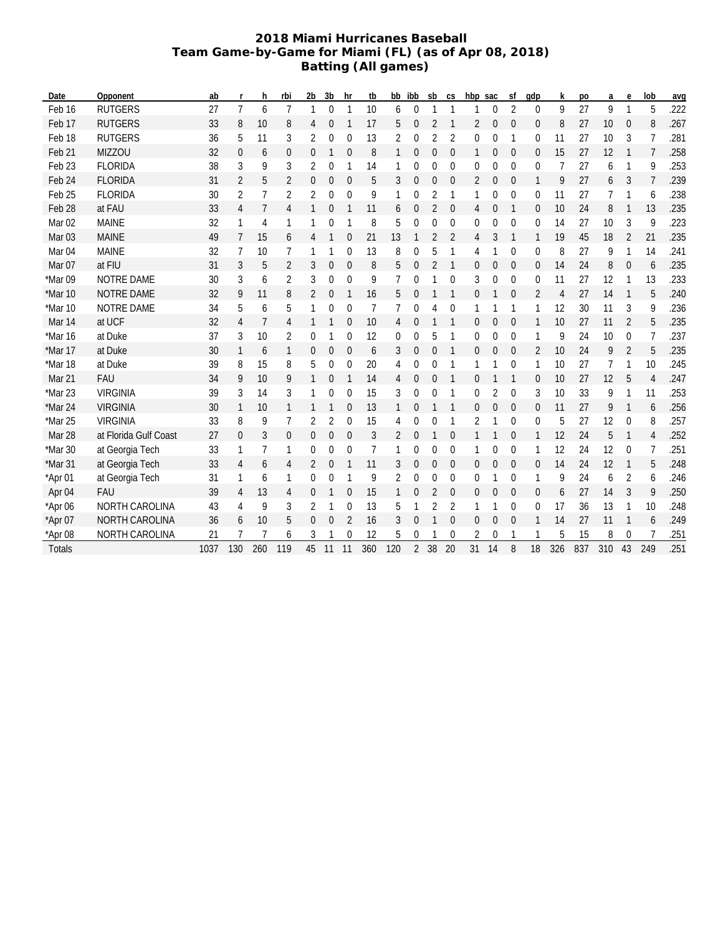#### **2018 Miami Hurricanes Baseball Team Game-by-Game for Miami (FL) (as of Apr 08, 2018) Batting (All games)**

| Date              | Opponent              | ab   | r              | h.  | rbi            | 2 <sub>b</sub>   | 3 <sub>b</sub>   | hr               | tb  | bb  | ibb            | sb             | <b>CS</b>    | hbp sac      |                | Sf               | qdp              | k              | po  | a   | e                | lob            | avq  |
|-------------------|-----------------------|------|----------------|-----|----------------|------------------|------------------|------------------|-----|-----|----------------|----------------|--------------|--------------|----------------|------------------|------------------|----------------|-----|-----|------------------|----------------|------|
| Feb 16            | <b>RUTGERS</b>        | 27   | $\overline{7}$ | 6   | $\overline{7}$ | $\mathbf{1}$     | $\overline{0}$   | $\mathbf{1}$     | 10  | 6   | $\overline{0}$ | $\mathbf{1}$   | $\mathbf{1}$ | 1            | $\mathbf{0}$   | $\overline{2}$   | 0                | 9              | 27  | 9   | $\mathbf{1}$     | 5              | .222 |
| Feb 17            | <b>RUTGERS</b>        | 33   | 8              | 10  | 8              | 4                | 0                | -1               | 17  | 5   | $\mathbf 0$    | 2              | $\mathbf{1}$ | 2            | 0              | $\mathbf 0$      | 0                | 8              | 27  | 10  | $\boldsymbol{0}$ | 8              | .267 |
| Feb 18            | <b>RUTGERS</b>        | 36   | 5              | 11  | 3              | $\overline{2}$   | 0                | 0                | 13  | 2   | 0              | 2              | 2            | 0            | 0              | $\mathbf{1}$     | 0                | 11             | 27  | 10  | 3                | 7              | .281 |
| Feb 21            | <b>MIZZOU</b>         | 32   | 0              | 6   | 0              | $\mathbf 0$      |                  | $\overline{0}$   | 8   | 1   | $\mathbf 0$    | $\overline{0}$ | $\mathbf 0$  | 1            | $\mathbf{0}$   | $\mathbf{0}$     | $\overline{0}$   | 15             | 27  | 12  | $\mathbf{1}$     | $\overline{7}$ | .258 |
| Feb <sub>23</sub> | <b>FLORIDA</b>        | 38   | 3              | 9   | 3              | 2                | 0                |                  | 14  | 1   | 0              | 0              | 0            | 0            | 0              | $\mathbf 0$      | 0                | 7              | 27  | 6   | 1                | 9              | .253 |
| Feb 24            | <b>FLORIDA</b>        | 31   | $\overline{2}$ | 5   | 2              | $\mathbf 0$      | 0                | $\mathbf{0}$     | 5   | 3   | 0              | 0              | $\mathbf 0$  | 2            | $\mathbf{0}$   | $\mathbf{0}$     | 1                | 9              | 27  | 6   | 3                | $\overline{7}$ | .239 |
| Feb 25            | <b>FLORIDA</b>        | 30   | 2              | 7   | $\overline{2}$ | 2                | 0                | $\mathbf 0$      | 9   | 1   | 0              | 2              | 1            | 1            | 0              | 0                | 0                | 11             | 27  | 7   | 1                | 6              | .238 |
| Feb 28            | at FAU                | 33   | 4              | 7   | 4              | 1                | 0                |                  | 11  | 6   | $\mathbf 0$    | $\overline{2}$ | $\Omega$     | 4            | $\mathbf{0}$   | 1                | $\mathbf{0}$     | 10             | 24  | 8   | $\mathbf{1}$     | 13             | .235 |
| Mar <sub>02</sub> | <b>MAINE</b>          | 32   | 1              | 4   | 1              | 1                | 0                |                  | 8   | 5   | 0              | 0              | $\mathbf 0$  | 0            | $\overline{0}$ | $\mathbf 0$      | 0                | 14             | 27  | 10  | 3                | 9              | .223 |
| Mar <sub>03</sub> | <b>MAINE</b>          | 49   | 7              | 15  | 6              | 4                |                  | $\mathbf 0$      | 21  | 13  |                | 2              | 2            | 4            | 3              | $\mathbf{1}$     | 1                | 19             | 45  | 18  | $\overline{2}$   | 21             | .235 |
| Mar <sub>04</sub> | <b>MAINE</b>          | 32   | 7              | 10  | 7              | 1                |                  | 0                | 13  | 8   | 0              | 5              | 1            | 4            | 1              | 0                | 0                | 8              | 27  | 9   | 1                | 14             | .241 |
| Mar 07            | at FIU                | 31   | 3              | 5   | 2              | 3                | 0                | $\mathbf 0$      | 8   | 5   | $\overline{0}$ | $\overline{2}$ | 1            | 0            | 0              | $\mathbf 0$      | $\boldsymbol{0}$ | 14             | 24  | 8   | 0                | 6              | .235 |
| *Mar 09           | NOTRE DAME            | 30   | 3              | 6   | 2              | 3                | 0                | $\mathbf 0$      | 9   | 7   | 0              |                | 0            | 3            | 0              | 0                | 0                | 11             | 27  | 12  |                  | 13             | .233 |
| *Mar 10           | NOTRE DAME            | 32   | 9              | 11  | 8              | 2                | 0                | 1                | 16  | 5   | 0              |                | 1            | 0            | 1              | $\boldsymbol{0}$ | 2                | $\overline{4}$ | 27  | 14  | 1                | 5              | .240 |
| *Mar 10           | NOTRE DAME            | 34   | 5              | 6   | 5              | 1                | 0                | 0                | 7   | 7   | 0              | 4              | 0            | 1            | 1              | 1                | 1                | 12             | 30  | 11  | 3                | 9              | .236 |
| Mar 14            | at UCF                | 32   | 4              | 7   | 4              | 1                |                  | $\mathbf 0$      | 10  | 4   | $\mathbf 0$    |                |              | 0            | $\overline{0}$ | $\overline{0}$   | 1                | 10             | 27  | 11  | $\overline{2}$   | 5              | .235 |
| *Mar 16           | at Duke               | 37   | 3              | 10  | 2              | 0                |                  | $\mathbf 0$      | 12  | 0   | $\overline{0}$ | 5              | 1            | $\mathbf{0}$ | 0              | $\mathbf 0$      | 1                | 9              | 24  | 10  | 0                | 7              | .237 |
| *Mar 17           | at Duke               | 30   | 1              | 6   | 1              | 0                | 0                | $\boldsymbol{0}$ | 6   | 3   | 0              | 0              | 1            | 0            | 0              | $\boldsymbol{0}$ | 2                | 10             | 24  | 9   | $\overline{2}$   | 5              | .235 |
| *Mar 18           | at Duke               | 39   | 8              | 15  | 8              | 5                | $\boldsymbol{0}$ | 0                | 20  | 4   | 0              | 0              |              | 1            |                | 0                | 1                | 10             | 27  | 7   | 1                | 10             | .245 |
| Mar 21            | <b>FAU</b>            | 34   | 9              | 10  | 9              | 1                | 0                |                  | 14  | 4   | 0              | $\overline{0}$ |              | 0            | 1              | 1                | 0                | 10             | 27  | 12  | 5                | 4              | .247 |
| *Mar 23           | <b>VIRGINIA</b>       | 39   | 3              | 14  | 3              | 1                | 0                | 0                | 15  | 3   | 0              | 0              | 1            | 0            | 2              | 0                | 3                | 10             | 33  | 9   |                  | 11             | .253 |
| *Mar 24           | <b>VIRGINIA</b>       | 30   | 1              | 10  | 1              | 1                | 1                | 0                | 13  | 1   | 0              | 1              | 1            | $\mathbf{0}$ | 0              | $\mathbf{0}$     | $\mathbf{0}$     | 11             | 27  | 9   | $\mathbf{1}$     | 6              | .256 |
| *Mar 25           | <b>VIRGINIA</b>       | 33   | 8              | 9   | 7              | 2                | $\overline{2}$   | $\mathbf 0$      | 15  | 4   | 0              | 0              | 1            | 2            | 1              | $\mathbf 0$      | 0                | 5              | 27  | 12  | $\mathbf{0}$     | 8              | .257 |
| Mar 28            | at Florida Gulf Coast | 27   | 0              | 3   | $\mathbf 0$    | $\theta$         | 0                | $\overline{0}$   | 3   | 2   | $\overline{0}$ | 1              | $\mathbf 0$  |              | 1              | $\mathbf 0$      | 1                | 12             | 24  | 5   | $\mathbf{1}$     | 4              | .252 |
| $*$ Mar 30        | at Georgia Tech       | 33   | 1              | 7   | 1              | $\mathbf 0$      | 0                | $\mathbf 0$      | 7   | 1   | 0              | 0              | 0            | 1            | 0              | 0                | 1                | 12             | 24  | 12  | $\mathbf{0}$     | 7              | .251 |
| $*$ Mar 31        | at Georgia Tech       | 33   | 4              | 6   | 4              | 2                | 0                | 1                | 11  | 3   | 0              | 0              | 0            | 0            | 0              | $\mathbf{0}$     | $\mathbf{0}$     | 14             | 24  | 12  | $\mathbf{1}$     | 5              | .248 |
| *Apr 01           | at Georgia Tech       | 31   |                | 6   | 1              | 0                | 0                | 1                | 9   | 2   | $\mathbf 0$    | 0              | $\mathbf 0$  | 0            | 1              | 0                | 1                | 9              | 24  | 6   | 2                | 6              | .246 |
| Apr 04            | <b>FAU</b>            | 39   | 4              | 13  | 4              | $\theta$         |                  | $\Omega$         | 15  | 1   | $\mathbf 0$    | 2              | $\Omega$     | $\mathbf{0}$ | $\overline{0}$ | $\overline{0}$   | $\mathbf{0}$     | 6              | 27  | 14  | 3                | 9              | .250 |
| *Apr 06           | NORTH CAROLINA        | 43   | 4              | 9   | 3              | 2                |                  | 0                | 13  | 5   |                | 2              | 2            | 1            | 1              | 0                | 0                | 17             | 36  | 13  | 1                | 10             | .248 |
| *Apr 07           | <b>NORTH CAROLINA</b> | 36   | 6              | 10  | 5              | $\boldsymbol{0}$ | 0                | 2                | 16  | 3   | 0              |                | $\mathbf 0$  | 0            | $\mathbf 0$    | $\mathbf{0}$     | 1                | 14             | 27  | 11  | $\mathbf{1}$     | 6              | .249 |
| *Apr 08           | NORTH CAROLINA        | 21   |                |     | 6              | 3                |                  | 0                | 12  | 5   | 0              |                | 0            | 2            | 0              |                  |                  | 5              | 15  | 8   | $\Omega$         |                | .251 |
| Totals            |                       | 1037 | 130            | 260 | 119            | 45               | 11               | 11               | 360 | 120 | $\overline{2}$ | 38             | 20           | 31           | 14             | 8                | 18               | 326            | 837 | 310 | 43               | 249            | .251 |